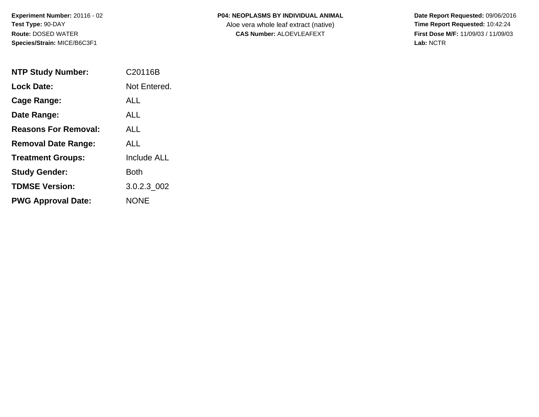| <b>P04: NEOPLASMS BY INDIVIDUAL ANIMAL</b> |  |
|--------------------------------------------|--|
|                                            |  |

Aloe vera whole leaf extract (native)<br>**CAS Number:** ALOEVLEAFEXT

| <b>NTP Study Number:</b>    | C <sub>20116</sub> B |
|-----------------------------|----------------------|
| Lock Date:                  | Not Entered.         |
| Cage Range:                 | AI I                 |
| Date Range:                 | AI I                 |
| <b>Reasons For Removal:</b> | ALL.                 |
| <b>Removal Date Range:</b>  | AI L                 |
| <b>Treatment Groups:</b>    | <b>Include ALL</b>   |
| <b>Study Gender:</b>        | <b>Both</b>          |
| <b>TDMSE Version:</b>       | 3.0.2.3 002          |
| <b>PWG Approval Date:</b>   | <b>NONE</b>          |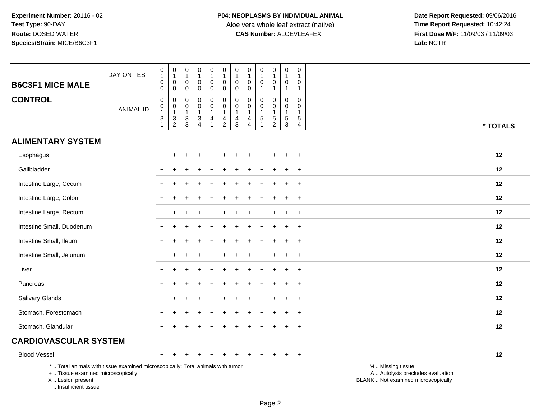| <b>B6C3F1 MICE MALE</b>                                                          | DAY ON TEST                                                                     | $\mathbf 0$<br>$\mathbf{1}$<br>$\mathsf{O}\xspace$<br>$\mathbf 0$ | $\pmb{0}$<br>$\overline{1}$<br>$\pmb{0}$<br>$\mathbf 0$ | $\pmb{0}$<br>$\mathbf{1}$<br>$\mathbf 0$<br>$\mathbf 0$ | $\mathbf 0$<br>1<br>$\pmb{0}$<br>$\mathbf 0$                                            | $\mathsf{O}\xspace$<br>$\mathbf{1}$<br>$\mathbf 0$<br>$\mathbf 0$ | $\mathsf 0$<br>$\mathbf{1}$<br>$\pmb{0}$<br>$\mathbf 0$                    | $\pmb{0}$<br>$\mathbf{1}$<br>$\mathsf{O}\xspace$<br>$\mathbf 0$ | $\pmb{0}$<br>$\mathbf{1}$<br>$\pmb{0}$<br>$\mathbf 0$              | $\pmb{0}$<br>$\mathbf{1}$<br>$\mathbf 0$<br>$\mathbf{1}$                     | $\pmb{0}$<br>$\mathbf{1}$<br>$\pmb{0}$<br>1             | $\pmb{0}$<br>$\mathbf{1}$<br>$\pmb{0}$<br>$\mathbf{1}$  | $\mathbf 0$<br>$\mathbf{1}$<br>0<br>$\mathbf{1}$               |                                                                                               |
|----------------------------------------------------------------------------------|---------------------------------------------------------------------------------|-------------------------------------------------------------------|---------------------------------------------------------|---------------------------------------------------------|-----------------------------------------------------------------------------------------|-------------------------------------------------------------------|----------------------------------------------------------------------------|-----------------------------------------------------------------|--------------------------------------------------------------------|------------------------------------------------------------------------------|---------------------------------------------------------|---------------------------------------------------------|----------------------------------------------------------------|-----------------------------------------------------------------------------------------------|
| <b>CONTROL</b>                                                                   | <b>ANIMAL ID</b>                                                                | 0<br>$\mathbf 0$<br>$\mathbf{1}$<br>$\sqrt{3}$<br>$\mathbf{1}$    | $\mathbf 0$<br>$\overline{0}$<br>1<br>$\frac{3}{2}$     | 0<br>$\mathbf 0$<br>$\mathbf{1}$<br>$\sqrt{3}$<br>3     | $\mathbf 0$<br>$\pmb{0}$<br>$\mathbf{1}$<br>$\ensuremath{\mathsf{3}}$<br>$\overline{4}$ | 0<br>$\mathsf{O}\xspace$<br>$\mathbf{1}$<br>4<br>$\mathbf{1}$     | $\pmb{0}$<br>$\pmb{0}$<br>$\mathbf{1}$<br>$\overline{4}$<br>$\overline{2}$ | 0<br>$\pmb{0}$<br>$\mathbf{1}$<br>4<br>$\mathbf{3}$             | 0<br>$\pmb{0}$<br>$\mathbf{1}$<br>$\overline{4}$<br>$\overline{4}$ | $\mathbf 0$<br>$\pmb{0}$<br>$\overline{1}$<br>$\overline{5}$<br>$\mathbf{1}$ | 0<br>0<br>$\mathbf{1}$<br>$\mathbf 5$<br>$\overline{c}$ | 0<br>$\mathbf 0$<br>$\mathbf{1}$<br>$\overline{5}$<br>3 | $\Omega$<br>$\mathbf 0$<br>$\mathbf{1}$<br>5<br>$\overline{4}$ | * TOTALS                                                                                      |
| <b>ALIMENTARY SYSTEM</b>                                                         |                                                                                 |                                                                   |                                                         |                                                         |                                                                                         |                                                                   |                                                                            |                                                                 |                                                                    |                                                                              |                                                         |                                                         |                                                                |                                                                                               |
| Esophagus                                                                        |                                                                                 |                                                                   |                                                         |                                                         |                                                                                         |                                                                   |                                                                            |                                                                 |                                                                    |                                                                              |                                                         |                                                         | $\ddot{}$                                                      | 12                                                                                            |
| Gallbladder                                                                      |                                                                                 |                                                                   |                                                         |                                                         |                                                                                         |                                                                   |                                                                            |                                                                 |                                                                    |                                                                              |                                                         |                                                         | $\ddot{}$                                                      | 12                                                                                            |
| Intestine Large, Cecum                                                           |                                                                                 |                                                                   |                                                         |                                                         |                                                                                         |                                                                   |                                                                            |                                                                 |                                                                    |                                                                              |                                                         |                                                         | $\ddot{}$                                                      | 12                                                                                            |
| Intestine Large, Colon                                                           |                                                                                 | $\div$                                                            |                                                         |                                                         |                                                                                         |                                                                   |                                                                            |                                                                 |                                                                    |                                                                              |                                                         | $\div$                                                  | $\ddot{}$                                                      | 12                                                                                            |
| Intestine Large, Rectum                                                          |                                                                                 |                                                                   |                                                         |                                                         |                                                                                         |                                                                   |                                                                            |                                                                 |                                                                    |                                                                              |                                                         |                                                         | $\ddot{}$                                                      | 12                                                                                            |
| Intestine Small, Duodenum                                                        |                                                                                 |                                                                   |                                                         |                                                         |                                                                                         |                                                                   |                                                                            |                                                                 |                                                                    |                                                                              |                                                         |                                                         | $\ddot{}$                                                      | 12                                                                                            |
| Intestine Small, Ileum                                                           |                                                                                 |                                                                   |                                                         |                                                         |                                                                                         |                                                                   |                                                                            |                                                                 |                                                                    |                                                                              |                                                         | $\pm$                                                   | $^{+}$                                                         | 12                                                                                            |
| Intestine Small, Jejunum                                                         |                                                                                 |                                                                   |                                                         |                                                         |                                                                                         |                                                                   |                                                                            |                                                                 |                                                                    |                                                                              |                                                         |                                                         | $\overline{+}$                                                 | 12                                                                                            |
| Liver                                                                            |                                                                                 |                                                                   |                                                         |                                                         |                                                                                         |                                                                   |                                                                            |                                                                 |                                                                    |                                                                              |                                                         |                                                         | $\ddot{}$                                                      | 12                                                                                            |
| Pancreas                                                                         |                                                                                 |                                                                   |                                                         |                                                         |                                                                                         |                                                                   |                                                                            |                                                                 |                                                                    |                                                                              |                                                         |                                                         | $\ddot{}$                                                      | 12                                                                                            |
| Salivary Glands                                                                  |                                                                                 |                                                                   |                                                         |                                                         |                                                                                         |                                                                   |                                                                            |                                                                 |                                                                    |                                                                              |                                                         |                                                         | $\ddot{}$                                                      | 12                                                                                            |
| Stomach, Forestomach                                                             |                                                                                 |                                                                   |                                                         |                                                         |                                                                                         |                                                                   |                                                                            |                                                                 |                                                                    |                                                                              |                                                         |                                                         | $\ddot{}$                                                      | 12                                                                                            |
| Stomach, Glandular                                                               |                                                                                 |                                                                   |                                                         |                                                         |                                                                                         |                                                                   |                                                                            |                                                                 |                                                                    |                                                                              |                                                         |                                                         | $\overline{+}$                                                 | 12                                                                                            |
| <b>CARDIOVASCULAR SYSTEM</b>                                                     |                                                                                 |                                                                   |                                                         |                                                         |                                                                                         |                                                                   |                                                                            |                                                                 |                                                                    |                                                                              |                                                         |                                                         |                                                                |                                                                                               |
| <b>Blood Vessel</b>                                                              |                                                                                 |                                                                   |                                                         |                                                         |                                                                                         |                                                                   |                                                                            |                                                                 |                                                                    |                                                                              |                                                         | $\pm$                                                   | $+$                                                            | 12                                                                                            |
| +  Tissue examined microscopically<br>X  Lesion present<br>I Insufficient tissue | *  Total animals with tissue examined microscopically; Total animals with tumor |                                                                   |                                                         |                                                         |                                                                                         |                                                                   |                                                                            |                                                                 |                                                                    |                                                                              |                                                         |                                                         |                                                                | M  Missing tissue<br>A  Autolysis precludes evaluation<br>BLANK  Not examined microscopically |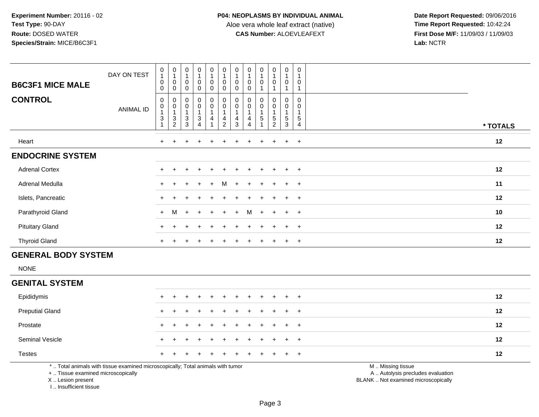**Date Report Requested:** 09/06/2016 **First Dose M/F:** 11/09/03 / 11/09/03<br>Lab: NCTR **Lab:** NCTR

| <b>B6C3F1 MICE MALE</b><br><b>CONTROL</b> | DAY ON TEST<br>ANIMAL ID | $\pmb{0}$<br>$\mathbf{1}$<br>$\pmb{0}$<br>$\mathbf 0$<br>0<br>$\pmb{0}$<br>$\overline{A}$ | 0<br>$\pmb{0}$<br>0<br>0<br>$\pmb{0}$ | $\mathbf 0$<br>$\mathbf 0$<br>0<br>$\pmb{0}$ | $\mathsf{O}$<br>$\pmb{0}$<br>0<br>$\pmb{0}$<br>$\mathbf 0$<br>$\overline{A}$ | 0<br>0<br>0<br>0<br>0 | $\pmb{0}$<br>$\overline{1}$<br>$\pmb{0}$<br>$\mathbf 0$<br>$_{\rm 0}^{\rm 0}$<br>$\overline{A}$ | 0<br>$\pmb{0}$<br>0<br>0<br>$\pmb{0}$ | $\mathbf 0$<br>$\mathbf{1}$<br>$\mathbf 0$<br>$\mathbf 0$<br>0<br>$\pmb{0}$<br>$\overline{1}$ | $\mathbf 0$<br>$\mathbf 0$<br>0<br>$\pmb{0}$ | $\begin{smallmatrix}0\\1\end{smallmatrix}$<br>$\mathbf 0$<br>0<br>$\pmb{0}$<br>$\overline{4}$ | 0<br>$\mathbf{1}$<br>$\boldsymbol{0}$<br>$\mathbf 0$<br>0<br>$\overline{A}$ | $\Omega$<br>$\mathbf 0$<br>0 |          |
|-------------------------------------------|--------------------------|-------------------------------------------------------------------------------------------|---------------------------------------|----------------------------------------------|------------------------------------------------------------------------------|-----------------------|-------------------------------------------------------------------------------------------------|---------------------------------------|-----------------------------------------------------------------------------------------------|----------------------------------------------|-----------------------------------------------------------------------------------------------|-----------------------------------------------------------------------------|------------------------------|----------|
|                                           |                          | $\mathbf{3}$                                                                              | $\ensuremath{\mathsf{3}}$<br>2        | $\ensuremath{\mathsf{3}}$<br>3               | $\sqrt{3}$<br>$\overline{4}$                                                 | 4                     | $\frac{4}{2}$                                                                                   | 4<br>3                                | 4<br>$\overline{4}$                                                                           | 5                                            | $\mathbf 5$<br>$\overline{2}$                                                                 | 5<br>3                                                                      | 5<br>$\overline{4}$          | * TOTALS |
| Heart                                     |                          | $+$                                                                                       |                                       |                                              | $\ddot{}$                                                                    | $+$                   |                                                                                                 | $\pm$                                 | $\div$                                                                                        | $\ddot{}$                                    | $+$                                                                                           | $+$                                                                         | $+$                          | 12       |
| <b>ENDOCRINE SYSTEM</b>                   |                          |                                                                                           |                                       |                                              |                                                                              |                       |                                                                                                 |                                       |                                                                                               |                                              |                                                                                               |                                                                             |                              |          |
| <b>Adrenal Cortex</b>                     |                          |                                                                                           |                                       |                                              |                                                                              |                       |                                                                                                 |                                       |                                                                                               |                                              |                                                                                               | $+$                                                                         | $+$                          | 12       |
| Adrenal Medulla                           |                          | $+$                                                                                       |                                       |                                              | $\ddot{}$                                                                    | $+$                   | M                                                                                               | $\ddot{}$                             |                                                                                               | $\div$                                       |                                                                                               | $+$                                                                         | $+$                          | 11       |
| Islets, Pancreatic                        |                          | $+$                                                                                       |                                       |                                              |                                                                              | $+$                   |                                                                                                 |                                       | $+$                                                                                           | $\ddot{}$                                    |                                                                                               | $+$                                                                         | $+$                          | 12       |
| Parathyroid Gland                         |                          | $+$                                                                                       | M                                     | $+$                                          | $+$                                                                          | $+$                   | $+$                                                                                             | $+$                                   |                                                                                               | $M +$                                        | $+$                                                                                           | $+$                                                                         | $+$                          | 10       |
| <b>Pituitary Gland</b>                    |                          |                                                                                           |                                       |                                              |                                                                              | +                     |                                                                                                 |                                       |                                                                                               |                                              |                                                                                               | $+$                                                                         | $+$                          | 12       |
| <b>Thyroid Gland</b>                      |                          | $+$                                                                                       |                                       |                                              |                                                                              |                       |                                                                                                 |                                       |                                                                                               |                                              |                                                                                               | $\pm$                                                                       | $+$                          | 12       |

# **GENERAL BODY SYSTEM**

NONE

 $\sim$ 

#### **GENITAL SYSTEM**

| Epididymis                                                                                                                                                                                                                     |  | + + + + + + + + + + + |  |  |  |  |  | 12 |
|--------------------------------------------------------------------------------------------------------------------------------------------------------------------------------------------------------------------------------|--|-----------------------|--|--|--|--|--|----|
| <b>Preputial Gland</b>                                                                                                                                                                                                         |  | + + + + + + + + + + + |  |  |  |  |  | 12 |
| Prostate                                                                                                                                                                                                                       |  | + + + + + + + + + + + |  |  |  |  |  | 12 |
| Seminal Vesicle                                                                                                                                                                                                                |  | + + + + + + + + + + + |  |  |  |  |  | 12 |
| <b>Testes</b>                                                                                                                                                                                                                  |  | + + + + + + + + + + + |  |  |  |  |  | 12 |
| المتعاونة والمستحقق والمستحقق والمتحاول والمتحاول والمتحدث والمتحاول والمتحاول والمتحاول والمتحول والمتحاول والمتحاول والمتحاول والمتحول والمتحاول والمتحول والمتحاول والمتحول والمتحول والمتحول والمتحول والمتحول والمتحول وا |  |                       |  |  |  |  |  |    |

Page 3

\* .. Total animals with tissue examined microscopically; Total animals with tumor

+ .. Tissue examined microscopically

X .. Lesion present

I .. Insufficient tissue

M .. Missing tissue

y the contract of the contract of the contract of the contract of the contract of the contract of the contract of  $A$ . Autolysis precludes evaluation

Lesion present BLANK .. Not examined microscopically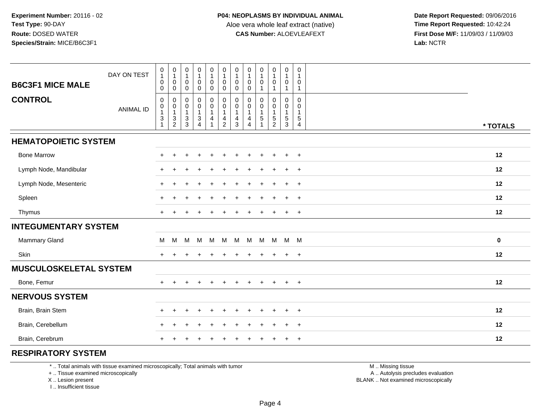**Date Report Requested:** 09/06/2016 **First Dose M/F:** 11/09/03 / 11/09/03<br>Lab: NCTR **Lab:** NCTR

| <b>B6C3F1 MICE MALE</b>       | DAY ON TEST      | $\begin{smallmatrix}0\1\end{smallmatrix}$<br>$\pmb{0}$<br>$\mathsf{O}\xspace$                        | $\begin{smallmatrix}0\\1\end{smallmatrix}$<br>$\pmb{0}$<br>$\pmb{0}$ | $\begin{smallmatrix}0\\1\end{smallmatrix}$<br>$\mathbf 0$<br>$\mathbf 0$ | $\begin{smallmatrix}0\\1\end{smallmatrix}$<br>$\mathbf 0$<br>$\pmb{0}$ | 0<br>$\mathbf{1}$<br>$\mathbf 0$<br>0           | $\begin{smallmatrix}0\\1\end{smallmatrix}$<br>$\pmb{0}$<br>$\pmb{0}$ | $\pmb{0}$<br>$\mathbf{1}$<br>$\mathbf 0$<br>$\mathbf 0$         | $\pmb{0}$<br>0<br>$\pmb{0}$                             | $\boldsymbol{0}$<br>$\mathbf{1}$<br>$\boldsymbol{0}$<br>$\overline{1}$ | 0<br>$\mathbf{1}$<br>0<br>$\mathbf{1}$  | $\pmb{0}$<br>$\mathbf{1}$<br>$\mathbf 0$<br>$\mathbf{1}$                       | 0<br>$\mathbf{1}$<br>0<br>$\mathbf{1}$                        |           |  |
|-------------------------------|------------------|------------------------------------------------------------------------------------------------------|----------------------------------------------------------------------|--------------------------------------------------------------------------|------------------------------------------------------------------------|-------------------------------------------------|----------------------------------------------------------------------|-----------------------------------------------------------------|---------------------------------------------------------|------------------------------------------------------------------------|-----------------------------------------|--------------------------------------------------------------------------------|---------------------------------------------------------------|-----------|--|
| <b>CONTROL</b>                | <b>ANIMAL ID</b> | $\pmb{0}$<br>$\begin{smallmatrix}0\\1\end{smallmatrix}$<br>$\ensuremath{\mathsf{3}}$<br>$\mathbf{1}$ | $\pmb{0}$<br>$\overline{0}$<br>1<br>$\frac{3}{2}$                    | $\mathbf 0$<br>$\frac{0}{1}$<br>$\frac{3}{3}$                            | $\pmb{0}$<br>$\overline{0}$<br>1<br>$\frac{3}{4}$                      | $\mathbf 0$<br>$\mathsf 0$<br>$\mathbf{1}$<br>4 | $\pmb{0}$<br>$\overline{0}$<br>1<br>$\frac{4}{2}$                    | $\mathbf 0$<br>$\pmb{0}$<br>$\mathbf{1}$<br>4<br>$\overline{3}$ | $\mathbf 0$<br>0<br>$\mathbf{1}$<br>4<br>$\overline{4}$ | $\mathbf 0$<br>$\mathbf 0$<br>$\overline{1}$<br>$\overline{5}$         | 0<br>0<br>$\mathbf{1}$<br>$\frac{5}{2}$ | $\mathbf 0$<br>$\boldsymbol{0}$<br>$\mathbf{1}$<br>$\,$ 5 $\,$<br>$\mathbf{3}$ | $\Omega$<br>0<br>$\mathbf{1}$<br>$\sqrt{5}$<br>$\overline{4}$ | * TOTALS  |  |
| <b>HEMATOPOIETIC SYSTEM</b>   |                  |                                                                                                      |                                                                      |                                                                          |                                                                        |                                                 |                                                                      |                                                                 |                                                         |                                                                        |                                         |                                                                                |                                                               |           |  |
| <b>Bone Marrow</b>            |                  | $+$                                                                                                  | $\div$                                                               |                                                                          |                                                                        | $\div$                                          |                                                                      | $\pm$                                                           | $\pm$                                                   | $\pm$                                                                  | $\overline{+}$                          | $\ddot{}$                                                                      | $+$                                                           | 12        |  |
| Lymph Node, Mandibular        |                  | $+$                                                                                                  |                                                                      |                                                                          |                                                                        |                                                 |                                                                      |                                                                 |                                                         |                                                                        |                                         | $\ddot{}$                                                                      | $\overline{+}$                                                | 12        |  |
| Lymph Node, Mesenteric        |                  | $+$                                                                                                  |                                                                      |                                                                          |                                                                        |                                                 |                                                                      |                                                                 |                                                         |                                                                        |                                         |                                                                                | $\ddot{}$                                                     | 12        |  |
| Spleen                        |                  | $+$                                                                                                  |                                                                      |                                                                          |                                                                        |                                                 |                                                                      |                                                                 |                                                         |                                                                        |                                         |                                                                                | $\ddot{}$                                                     | 12        |  |
| Thymus                        |                  | $+$                                                                                                  |                                                                      |                                                                          |                                                                        |                                                 |                                                                      |                                                                 |                                                         |                                                                        | ÷                                       | $\ddot{}$                                                                      | $\ddot{}$                                                     | 12        |  |
| <b>INTEGUMENTARY SYSTEM</b>   |                  |                                                                                                      |                                                                      |                                                                          |                                                                        |                                                 |                                                                      |                                                                 |                                                         |                                                                        |                                         |                                                                                |                                                               |           |  |
| Mammary Gland                 |                  | M                                                                                                    | м                                                                    | M                                                                        | M                                                                      | M                                               | M                                                                    | M                                                               |                                                         | M M                                                                    | M                                       | M M                                                                            |                                                               | $\pmb{0}$ |  |
| Skin                          |                  | $+$                                                                                                  |                                                                      |                                                                          |                                                                        |                                                 |                                                                      |                                                                 |                                                         |                                                                        | $\ddot{}$                               | $\ddot{}$                                                                      | $\overline{+}$                                                | 12        |  |
| <b>MUSCULOSKELETAL SYSTEM</b> |                  |                                                                                                      |                                                                      |                                                                          |                                                                        |                                                 |                                                                      |                                                                 |                                                         |                                                                        |                                         |                                                                                |                                                               |           |  |
| Bone, Femur                   |                  | $+$                                                                                                  | $\ddot{}$                                                            |                                                                          |                                                                        |                                                 |                                                                      | $\ddot{}$                                                       | $\pm$                                                   | $\ddot{}$                                                              | $+$                                     | $+$                                                                            | $+$                                                           | 12        |  |
| <b>NERVOUS SYSTEM</b>         |                  |                                                                                                      |                                                                      |                                                                          |                                                                        |                                                 |                                                                      |                                                                 |                                                         |                                                                        |                                         |                                                                                |                                                               |           |  |
| Brain, Brain Stem             |                  |                                                                                                      |                                                                      |                                                                          |                                                                        |                                                 |                                                                      |                                                                 |                                                         |                                                                        |                                         | ÷                                                                              | $\ddot{}$                                                     | 12        |  |
| Brain, Cerebellum             |                  | $+$                                                                                                  |                                                                      |                                                                          |                                                                        |                                                 |                                                                      |                                                                 |                                                         |                                                                        |                                         | ÷                                                                              | $\ddot{}$                                                     | 12        |  |
| Brain, Cerebrum               |                  |                                                                                                      |                                                                      |                                                                          |                                                                        |                                                 |                                                                      |                                                                 |                                                         |                                                                        | ÷                                       | $\ddot{}$                                                                      | $\ddot{}$                                                     | 12        |  |
|                               |                  |                                                                                                      |                                                                      |                                                                          |                                                                        |                                                 |                                                                      |                                                                 |                                                         |                                                                        |                                         |                                                                                |                                                               |           |  |

## **RESPIRATORY SYSTEM**

\* .. Total animals with tissue examined microscopically; Total animals with tumor

+ .. Tissue examined microscopically

X .. Lesion present

I .. Insufficient tissue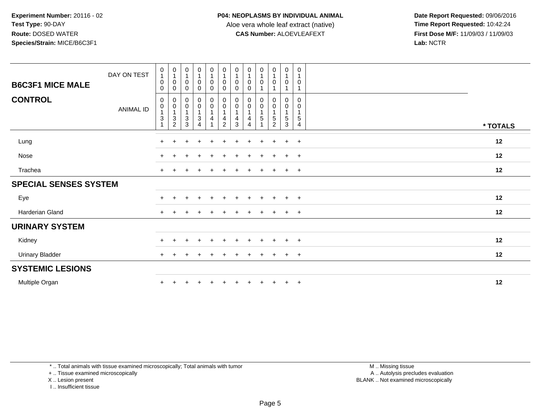**Date Report Requested:** 09/06/2016 **First Dose M/F:** 11/09/03 / 11/09/03<br>Lab: NCTR **Lab:** NCTR

| <b>B6C3F1 MICE MALE</b><br><b>CONTROL</b> | DAY ON TEST      | $\pmb{0}$<br>$\overline{A}$<br>0<br>$\mathbf 0$<br>0 | $\begin{smallmatrix}0\\1\end{smallmatrix}$<br>$\pmb{0}$<br>$\mathbf 0$<br>$_{\rm 0}^{\rm 0}$ | $\begin{smallmatrix}0\\1\end{smallmatrix}$<br>$\mathbf 0$<br>$\mathbf 0$<br>$\mathbf 0$ | $\mathbf 0$<br>$\mathbf{1}$<br>0<br>$\mathbf 0$<br>$\mathbf 0$ | $\begin{smallmatrix}0\\1\end{smallmatrix}$<br>$\mathsf 0$<br>$\mathbf 0$<br>$\pmb{0}$ | $\begin{smallmatrix}0\\1\end{smallmatrix}$<br>$\pmb{0}$<br>$\mathbf 0$<br>$\begin{smallmatrix} 0\\0 \end{smallmatrix}$ | $\begin{smallmatrix}0\\1\end{smallmatrix}$<br>0<br>$\mathbf 0$<br>$\begin{smallmatrix} 0\\0 \end{smallmatrix}$ | $\begin{smallmatrix}0\\1\end{smallmatrix}$<br>0<br>0<br>$_{\rm 0}^{\rm 0}$ | $\mathbf 0$<br>$\mathbf{1}$<br>$\mathbf 0$<br>0 | $\begin{smallmatrix}0\\1\end{smallmatrix}$<br>$\mathsf 0$<br>$\pmb{0}$ | $\pmb{0}$<br>$\overline{1}$<br>$\pmb{0}$<br>0 | $\mathbf 0$<br>$\overline{1}$<br>$\mathbf 0$<br>$\mathbf 0$      |          |  |
|-------------------------------------------|------------------|------------------------------------------------------|----------------------------------------------------------------------------------------------|-----------------------------------------------------------------------------------------|----------------------------------------------------------------|---------------------------------------------------------------------------------------|------------------------------------------------------------------------------------------------------------------------|----------------------------------------------------------------------------------------------------------------|----------------------------------------------------------------------------|-------------------------------------------------|------------------------------------------------------------------------|-----------------------------------------------|------------------------------------------------------------------|----------|--|
|                                           | <b>ANIMAL ID</b> | 0<br>$\sqrt{3}$                                      | $\overline{1}$<br>$\frac{3}{2}$                                                              | $\mathbf 0$<br>$\mathbf{1}$<br>$\ensuremath{\mathsf{3}}$<br>3                           | $\mathsf{O}\xspace$<br>$\mathbf{3}$<br>4                       | $\pmb{0}$<br>$\overline{1}$<br>$\overline{4}$                                         | 4<br>$\overline{2}$                                                                                                    | $\overline{1}$<br>$\frac{4}{3}$                                                                                | $\mathbf{1}$<br>4<br>$\boldsymbol{\Lambda}$                                | $\mathsf{O}\xspace$<br>5                        | $\mathbf 0$<br>$\overline{1}$<br>$\frac{5}{2}$                         | $\pmb{0}$<br>$\mathbf{1}$<br>$\frac{5}{3}$    | 0<br>$\overline{\mathbf{1}}$<br>$\overline{5}$<br>$\overline{4}$ | * TOTALS |  |
| Lung                                      |                  | $+$                                                  |                                                                                              | ÷                                                                                       | $\div$                                                         | $\pm$                                                                                 | $\ddot{}$                                                                                                              | ÷.                                                                                                             | $+$                                                                        | $\ddot{}$                                       | $+$                                                                    | $+$                                           | $+$                                                              | 12       |  |
| Nose                                      |                  |                                                      |                                                                                              |                                                                                         |                                                                |                                                                                       |                                                                                                                        |                                                                                                                |                                                                            |                                                 |                                                                        | $\ddot{}$                                     | $+$                                                              | 12       |  |
| Trachea                                   |                  | $+$                                                  |                                                                                              |                                                                                         |                                                                | $\pm$                                                                                 | $\div$                                                                                                                 |                                                                                                                | $\pm$                                                                      | $\ddot{}$                                       | $\ddot{}$                                                              | $+$                                           | $+$                                                              | 12       |  |
| <b>SPECIAL SENSES SYSTEM</b>              |                  |                                                      |                                                                                              |                                                                                         |                                                                |                                                                                       |                                                                                                                        |                                                                                                                |                                                                            |                                                 |                                                                        |                                               |                                                                  |          |  |
| Eye                                       |                  | $\pm$                                                |                                                                                              |                                                                                         | $\pm$                                                          | $\pm$                                                                                 | $\div$                                                                                                                 |                                                                                                                |                                                                            | $\div$                                          | $+$                                                                    | $+$                                           | $+$                                                              | 12       |  |
| Harderian Gland                           |                  | $+$                                                  |                                                                                              |                                                                                         | $\overline{1}$                                                 | $\pm$                                                                                 | $\ddot{}$                                                                                                              |                                                                                                                | $\ddot{}$                                                                  | $\ddot{}$                                       | $\ddot{}$                                                              | $+$                                           | $+$                                                              | 12       |  |
| <b>URINARY SYSTEM</b>                     |                  |                                                      |                                                                                              |                                                                                         |                                                                |                                                                                       |                                                                                                                        |                                                                                                                |                                                                            |                                                 |                                                                        |                                               |                                                                  |          |  |
| Kidney                                    |                  | $\pm$                                                |                                                                                              |                                                                                         |                                                                |                                                                                       | $\div$                                                                                                                 |                                                                                                                | $\pm$                                                                      | $\pm$                                           | $\pm$                                                                  | $+$                                           | $+$                                                              | 12       |  |
| <b>Urinary Bladder</b>                    |                  | $+$                                                  |                                                                                              |                                                                                         |                                                                |                                                                                       |                                                                                                                        |                                                                                                                |                                                                            | $\overline{ }$                                  | $\ddot{}$                                                              | $+$                                           | $+$                                                              | 12       |  |
| <b>SYSTEMIC LESIONS</b>                   |                  |                                                      |                                                                                              |                                                                                         |                                                                |                                                                                       |                                                                                                                        |                                                                                                                |                                                                            |                                                 |                                                                        |                                               |                                                                  |          |  |
| Multiple Organ                            |                  |                                                      |                                                                                              |                                                                                         |                                                                |                                                                                       |                                                                                                                        |                                                                                                                |                                                                            | $\ddot{}$                                       | $+$                                                                    | $+$                                           | $+$                                                              | 12       |  |

\* .. Total animals with tissue examined microscopically; Total animals with tumor

+ .. Tissue examined microscopically

X .. Lesion present

I .. Insufficient tissue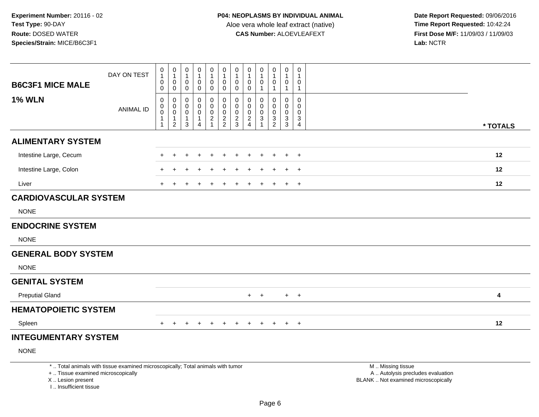I .. Insufficient tissue

| <b>B6C3F1 MICE MALE</b>                                 | DAY ON TEST                                                                     | 0<br>1<br>0<br>0                     | $\boldsymbol{0}$<br>$\overline{1}$<br>$\boldsymbol{0}$<br>$\mathbf 0$            | 0<br>$\mathbf{1}$<br>0<br>$\mathbf 0$                 | 0<br>$\mathbf{1}$<br>0<br>$\mathbf 0$             | 0<br>1<br>$\mathbf 0$<br>$\mathbf 0$                                    | 0<br>$\mathbf{1}$<br>0<br>$\mathbf 0$ | $\pmb{0}$<br>$\mathbf{1}$<br>0<br>$\mathbf 0$ | $\pmb{0}$<br>$\mathbf{1}$<br>$\pmb{0}$<br>$\pmb{0}$        | 0<br>$\mathbf 0$               | $\pmb{0}$<br>$\mathbf{1}$<br>$\pmb{0}$<br>$\overline{1}$ | 0<br>$\overline{1}$<br>0<br>$\overline{1}$ | $\pmb{0}$<br>$\overline{1}$<br>$\mathbf 0$<br>$\mathbf{1}$    |                                                                                               |          |
|---------------------------------------------------------|---------------------------------------------------------------------------------|--------------------------------------|----------------------------------------------------------------------------------|-------------------------------------------------------|---------------------------------------------------|-------------------------------------------------------------------------|---------------------------------------|-----------------------------------------------|------------------------------------------------------------|--------------------------------|----------------------------------------------------------|--------------------------------------------|---------------------------------------------------------------|-----------------------------------------------------------------------------------------------|----------|
| <b>1% WLN</b>                                           | <b>ANIMAL ID</b>                                                                | $\mathbf 0$<br>0<br>$\mathsf 0$<br>1 | $\mathbf 0$<br>$\boldsymbol{0}$<br>$\mathbf 0$<br>$\mathbf{1}$<br>$\overline{2}$ | 0<br>0<br>$\mathbf 0$<br>$\mathbf{1}$<br>$\mathbf{3}$ | $\mathbf 0$<br>$\Omega$<br>0<br>$\mathbf{1}$<br>4 | $\Omega$<br>$\Omega$<br>$\mathbf 0$<br>$\overline{c}$<br>$\overline{1}$ | 0<br>0<br>$\pmb{0}$<br>$\frac{2}{2}$  | $\mathbf 0$<br>0<br>0<br>$\frac{2}{3}$        | $\mathbf 0$<br>$\mathbf 0$<br>$\mathbf 0$<br>$\frac{2}{4}$ | $\Omega$<br>$\Omega$<br>0<br>3 | $\mathbf 0$<br>$\Omega$<br>0<br>$\frac{3}{2}$            | 0<br>$\mathbf{0}$<br>0<br>$\frac{3}{3}$    | $\mathbf 0$<br>$\Omega$<br>$\mathbf 0$<br>3<br>$\overline{4}$ |                                                                                               | * TOTALS |
| <b>ALIMENTARY SYSTEM</b>                                |                                                                                 |                                      |                                                                                  |                                                       |                                                   |                                                                         |                                       |                                               |                                                            |                                |                                                          |                                            |                                                               |                                                                                               |          |
| Intestine Large, Cecum                                  |                                                                                 | $\ddot{}$                            | $\ddot{}$                                                                        |                                                       |                                                   |                                                                         |                                       |                                               |                                                            |                                |                                                          | $\ddot{}$                                  | $+$                                                           |                                                                                               | 12       |
| Intestine Large, Colon                                  |                                                                                 |                                      |                                                                                  |                                                       |                                                   |                                                                         |                                       |                                               |                                                            |                                |                                                          |                                            | $\ddot{}$                                                     |                                                                                               | 12       |
| Liver                                                   |                                                                                 | $\pm$                                |                                                                                  |                                                       |                                                   |                                                                         |                                       |                                               |                                                            |                                |                                                          | $+$                                        | $+$                                                           |                                                                                               | 12       |
| <b>CARDIOVASCULAR SYSTEM</b>                            |                                                                                 |                                      |                                                                                  |                                                       |                                                   |                                                                         |                                       |                                               |                                                            |                                |                                                          |                                            |                                                               |                                                                                               |          |
| <b>NONE</b>                                             |                                                                                 |                                      |                                                                                  |                                                       |                                                   |                                                                         |                                       |                                               |                                                            |                                |                                                          |                                            |                                                               |                                                                                               |          |
| <b>ENDOCRINE SYSTEM</b>                                 |                                                                                 |                                      |                                                                                  |                                                       |                                                   |                                                                         |                                       |                                               |                                                            |                                |                                                          |                                            |                                                               |                                                                                               |          |
| <b>NONE</b>                                             |                                                                                 |                                      |                                                                                  |                                                       |                                                   |                                                                         |                                       |                                               |                                                            |                                |                                                          |                                            |                                                               |                                                                                               |          |
| <b>GENERAL BODY SYSTEM</b>                              |                                                                                 |                                      |                                                                                  |                                                       |                                                   |                                                                         |                                       |                                               |                                                            |                                |                                                          |                                            |                                                               |                                                                                               |          |
| <b>NONE</b>                                             |                                                                                 |                                      |                                                                                  |                                                       |                                                   |                                                                         |                                       |                                               |                                                            |                                |                                                          |                                            |                                                               |                                                                                               |          |
| <b>GENITAL SYSTEM</b>                                   |                                                                                 |                                      |                                                                                  |                                                       |                                                   |                                                                         |                                       |                                               |                                                            |                                |                                                          |                                            |                                                               |                                                                                               |          |
| <b>Preputial Gland</b>                                  |                                                                                 |                                      |                                                                                  |                                                       |                                                   |                                                                         |                                       |                                               |                                                            | $+$ $+$                        |                                                          |                                            | $+$ $+$                                                       |                                                                                               | 4        |
| <b>HEMATOPOIETIC SYSTEM</b>                             |                                                                                 |                                      |                                                                                  |                                                       |                                                   |                                                                         |                                       |                                               |                                                            |                                |                                                          |                                            |                                                               |                                                                                               |          |
| Spleen                                                  |                                                                                 |                                      |                                                                                  |                                                       |                                                   |                                                                         |                                       |                                               | $\div$                                                     | $\pm$                          | $\div$                                                   | $+$                                        | $^{+}$                                                        |                                                                                               | 12       |
| <b>INTEGUMENTARY SYSTEM</b>                             |                                                                                 |                                      |                                                                                  |                                                       |                                                   |                                                                         |                                       |                                               |                                                            |                                |                                                          |                                            |                                                               |                                                                                               |          |
| <b>NONE</b>                                             |                                                                                 |                                      |                                                                                  |                                                       |                                                   |                                                                         |                                       |                                               |                                                            |                                |                                                          |                                            |                                                               |                                                                                               |          |
| +  Tissue examined microscopically<br>X  Lesion present | *  Total animals with tissue examined microscopically; Total animals with tumor |                                      |                                                                                  |                                                       |                                                   |                                                                         |                                       |                                               |                                                            |                                |                                                          |                                            |                                                               | M  Missing tissue<br>A  Autolysis precludes evaluation<br>BLANK  Not examined microscopically |          |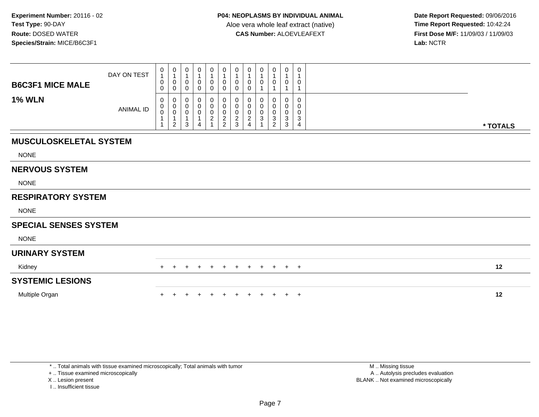**Date Report Requested:** 09/06/2016 **First Dose M/F:** 11/09/03 / 11/09/03<br>Lab: NCTR **Lab:** NCTR

| <b>B6C3F1 MICE MALE</b>       | DAY ON TEST      | $\begin{smallmatrix}0\1\end{smallmatrix}$<br>$\mathbf 0$<br>$\mathbf 0$ | $\begin{smallmatrix}0\\1\end{smallmatrix}$<br>$\pmb{0}$<br>$\mathsf{O}\xspace$        | $\begin{smallmatrix}0\\1\end{smallmatrix}$<br>$\pmb{0}$<br>$\mathbf 0$ | 0<br>1<br>0<br>0      | 0<br>1<br>$\pmb{0}$<br>0              | 0<br>0<br>0                  | 0<br>$\mathbf{1}$<br>0<br>$\mathbf 0$        | 0<br>$\pmb{0}$<br>$\pmb{0}$                                     | $\mathbf 0$<br>0                      | 0<br>0                       | 0<br>$\mathbf{1}$<br>$\pmb{0}$<br>$\mathbf{1}$              | 0<br>1<br>0<br>1                |          |
|-------------------------------|------------------|-------------------------------------------------------------------------|---------------------------------------------------------------------------------------|------------------------------------------------------------------------|-----------------------|---------------------------------------|------------------------------|----------------------------------------------|-----------------------------------------------------------------|---------------------------------------|------------------------------|-------------------------------------------------------------|---------------------------------|----------|
| <b>1% WLN</b>                 | <b>ANIMAL ID</b> | 0<br>$_{\rm 0}^{\rm 0}$                                                 | 0<br>$\begin{smallmatrix} 0\\0 \end{smallmatrix}$<br>$\overline{1}$<br>$\overline{2}$ | $\mathbf 0$<br>$\pmb{0}$<br>$\pmb{0}$<br>$\mathbf{1}$<br>$\mathbf{3}$  | 0<br>0<br>0<br>1<br>4 | 0<br>0<br>$\pmb{0}$<br>$\overline{c}$ | 0<br>0<br>0<br>$\frac{2}{2}$ | 0<br>$\pmb{0}$<br>$\pmb{0}$<br>$\frac{2}{3}$ | 0<br>$\pmb{0}$<br>$\pmb{0}$<br>$\overline{c}$<br>$\overline{4}$ | $\mathbf 0$<br>0<br>0<br>$\mathbf{3}$ | $\Omega$<br>0<br>0<br>3<br>2 | 0<br>$\pmb{0}$<br>$\pmb{0}$<br>$\mathbf{3}$<br>$\mathbf{3}$ | $\mathbf 0$<br>0<br>0<br>3<br>4 | * TOTALS |
| <b>MUSCULOSKELETAL SYSTEM</b> |                  |                                                                         |                                                                                       |                                                                        |                       |                                       |                              |                                              |                                                                 |                                       |                              |                                                             |                                 |          |
| <b>NONE</b>                   |                  |                                                                         |                                                                                       |                                                                        |                       |                                       |                              |                                              |                                                                 |                                       |                              |                                                             |                                 |          |
| <b>NERVOUS SYSTEM</b>         |                  |                                                                         |                                                                                       |                                                                        |                       |                                       |                              |                                              |                                                                 |                                       |                              |                                                             |                                 |          |
| <b>NONE</b>                   |                  |                                                                         |                                                                                       |                                                                        |                       |                                       |                              |                                              |                                                                 |                                       |                              |                                                             |                                 |          |
| <b>RESPIRATORY SYSTEM</b>     |                  |                                                                         |                                                                                       |                                                                        |                       |                                       |                              |                                              |                                                                 |                                       |                              |                                                             |                                 |          |
| <b>NONE</b>                   |                  |                                                                         |                                                                                       |                                                                        |                       |                                       |                              |                                              |                                                                 |                                       |                              |                                                             |                                 |          |
| <b>SPECIAL SENSES SYSTEM</b>  |                  |                                                                         |                                                                                       |                                                                        |                       |                                       |                              |                                              |                                                                 |                                       |                              |                                                             |                                 |          |
| <b>NONE</b>                   |                  |                                                                         |                                                                                       |                                                                        |                       |                                       |                              |                                              |                                                                 |                                       |                              |                                                             |                                 |          |
| <b>URINARY SYSTEM</b>         |                  |                                                                         |                                                                                       |                                                                        |                       |                                       |                              |                                              |                                                                 |                                       |                              |                                                             |                                 |          |
| Kidney                        |                  | $+$                                                                     | $\pm$                                                                                 | $+$                                                                    | $\pm$                 | $+$                                   | $+$                          | $+$                                          | $+$                                                             | $+$                                   | $+$                          | $+$                                                         | $+$                             | 12       |
| <b>SYSTEMIC LESIONS</b>       |                  |                                                                         |                                                                                       |                                                                        |                       |                                       |                              |                                              |                                                                 |                                       |                              |                                                             |                                 |          |
| Multiple Organ                |                  |                                                                         |                                                                                       |                                                                        |                       |                                       |                              |                                              |                                                                 |                                       |                              | $\pm$                                                       | $^{+}$                          | 12       |

+ .. Tissue examined microscopically

X .. Lesion present

I .. Insufficient tissue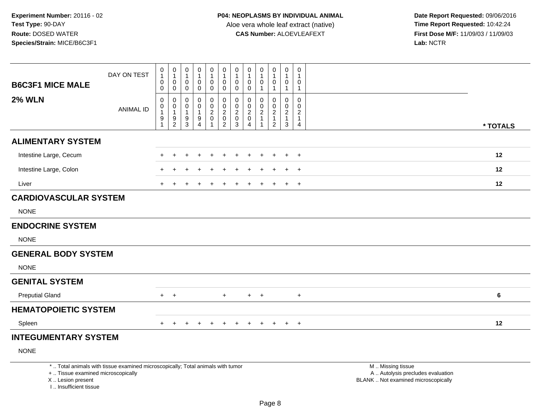| <b>B6C3F1 MICE MALE</b>                                                           | DAY ON TEST                                                                     | 0<br>$\mathbf{1}$<br>0<br>$\mathsf{O}\xspace$                 | $\pmb{0}$<br>$\mathbf{1}$<br>$\mathsf{O}\xspace$<br>$\pmb{0}$ | $\pmb{0}$<br>$\overline{1}$<br>$\pmb{0}$<br>$\mathsf{O}\xspace$ | $\pmb{0}$<br>$\overline{1}$<br>0<br>$\mathbf 0$ | $\pmb{0}$<br>$\mathbf{1}$<br>$\mathbf 0$<br>$\mathbf 0$        | $\pmb{0}$<br>$\mathbf{1}$<br>$\mathsf{O}$<br>$\pmb{0}$ | $\pmb{0}$<br>$\mathbf{1}$<br>$\pmb{0}$<br>$\ddot{\mathbf{0}}$   | $\mathbf 0$<br>$\mathbf{1}$<br>$\mathbf 0$<br>$\mathsf{O}\xspace$ | $\pmb{0}$<br>$\mathbf{1}$<br>$\pmb{0}$<br>$\mathbf{1}$ | $\pmb{0}$<br>$\mathbf{1}$<br>$\mathbf 0$<br>$\mathbf{1}$    | $\boldsymbol{0}$<br>$\mathbf{1}$<br>$\boldsymbol{0}$<br>$\overline{1}$ | $\pmb{0}$<br>$\mathbf{1}$<br>$\mathbf 0$<br>$\mathbf{1}$ |                                                                                               |
|-----------------------------------------------------------------------------------|---------------------------------------------------------------------------------|---------------------------------------------------------------|---------------------------------------------------------------|-----------------------------------------------------------------|-------------------------------------------------|----------------------------------------------------------------|--------------------------------------------------------|-----------------------------------------------------------------|-------------------------------------------------------------------|--------------------------------------------------------|-------------------------------------------------------------|------------------------------------------------------------------------|----------------------------------------------------------|-----------------------------------------------------------------------------------------------|
| <b>2% WLN</b>                                                                     | <b>ANIMAL ID</b>                                                                | 0<br>$\mathsf{O}\xspace$<br>$\mathbf{1}$<br>9<br>$\mathbf{1}$ | 0<br>$\boldsymbol{0}$<br>$\mathbf{1}$<br>$\frac{9}{2}$        | 0<br>$\mathbf 0$<br>$\overline{1}$<br>$\frac{9}{3}$             | 0<br>$\mathbf 0$<br>$\overline{1}$<br>9         | $\pmb{0}$<br>$\boldsymbol{0}$<br>$\boldsymbol{2}$<br>$\pmb{0}$ | 0<br>$\mathbf 0$<br>$\overline{c}$<br>$\pmb{0}$        | $\pmb{0}$<br>$\ddot{\mathbf{0}}$<br>$\overline{2}$<br>$\pmb{0}$ | $\mathbf 0$<br>$\mathbf 0$<br>$\overline{c}$<br>$\mathbf 0$       | $\Omega$<br>$\Omega$<br>$\overline{2}$<br>$\mathbf{1}$ | $\Omega$<br>$\mathbf 0$<br>$\boldsymbol{2}$<br>$\mathbf{1}$ | $\boldsymbol{0}$<br>$\mathbf 0$<br>$\sqrt{2}$<br>$\mathbf{1}$          | 0<br>$\mathbf 0$<br>$\sqrt{2}$<br>$\mathbf{1}$           |                                                                                               |
|                                                                                   |                                                                                 |                                                               |                                                               |                                                                 | $\overline{4}$                                  | $\overline{1}$                                                 | $\overline{c}$                                         | $\mathbf{3}$                                                    | $\overline{4}$                                                    | $\mathbf{1}$                                           | $\overline{c}$                                              | $\mathbf{3}$                                                           | $\overline{4}$                                           | * TOTALS                                                                                      |
| <b>ALIMENTARY SYSTEM</b>                                                          |                                                                                 |                                                               |                                                               |                                                                 |                                                 |                                                                |                                                        |                                                                 |                                                                   |                                                        |                                                             |                                                                        |                                                          |                                                                                               |
| Intestine Large, Cecum                                                            |                                                                                 |                                                               |                                                               |                                                                 |                                                 |                                                                |                                                        |                                                                 |                                                                   |                                                        |                                                             | ÷                                                                      | $+$                                                      | 12                                                                                            |
| Intestine Large, Colon                                                            |                                                                                 |                                                               |                                                               |                                                                 |                                                 |                                                                |                                                        |                                                                 |                                                                   |                                                        |                                                             |                                                                        | $+$                                                      | 12                                                                                            |
| Liver                                                                             |                                                                                 | $\ddot{}$                                                     |                                                               |                                                                 |                                                 |                                                                |                                                        |                                                                 |                                                                   |                                                        |                                                             | $\ddot{}$                                                              | $+$                                                      | 12                                                                                            |
| <b>CARDIOVASCULAR SYSTEM</b>                                                      |                                                                                 |                                                               |                                                               |                                                                 |                                                 |                                                                |                                                        |                                                                 |                                                                   |                                                        |                                                             |                                                                        |                                                          |                                                                                               |
| <b>NONE</b>                                                                       |                                                                                 |                                                               |                                                               |                                                                 |                                                 |                                                                |                                                        |                                                                 |                                                                   |                                                        |                                                             |                                                                        |                                                          |                                                                                               |
| <b>ENDOCRINE SYSTEM</b>                                                           |                                                                                 |                                                               |                                                               |                                                                 |                                                 |                                                                |                                                        |                                                                 |                                                                   |                                                        |                                                             |                                                                        |                                                          |                                                                                               |
| <b>NONE</b>                                                                       |                                                                                 |                                                               |                                                               |                                                                 |                                                 |                                                                |                                                        |                                                                 |                                                                   |                                                        |                                                             |                                                                        |                                                          |                                                                                               |
| <b>GENERAL BODY SYSTEM</b>                                                        |                                                                                 |                                                               |                                                               |                                                                 |                                                 |                                                                |                                                        |                                                                 |                                                                   |                                                        |                                                             |                                                                        |                                                          |                                                                                               |
| <b>NONE</b>                                                                       |                                                                                 |                                                               |                                                               |                                                                 |                                                 |                                                                |                                                        |                                                                 |                                                                   |                                                        |                                                             |                                                                        |                                                          |                                                                                               |
| <b>GENITAL SYSTEM</b>                                                             |                                                                                 |                                                               |                                                               |                                                                 |                                                 |                                                                |                                                        |                                                                 |                                                                   |                                                        |                                                             |                                                                        |                                                          |                                                                                               |
| <b>Preputial Gland</b>                                                            |                                                                                 |                                                               | $+$ $+$                                                       |                                                                 |                                                 |                                                                | $+$                                                    |                                                                 | $+$                                                               | $+$                                                    |                                                             |                                                                        | $+$                                                      | 6                                                                                             |
| <b>HEMATOPOIETIC SYSTEM</b>                                                       |                                                                                 |                                                               |                                                               |                                                                 |                                                 |                                                                |                                                        |                                                                 |                                                                   |                                                        |                                                             |                                                                        |                                                          |                                                                                               |
| Spleen                                                                            |                                                                                 | $+$                                                           | $+$                                                           | $\div$                                                          | +                                               | +                                                              | $\ddot{}$                                              | $\ddot{}$                                                       | $+$                                                               | $+$                                                    | $+$                                                         | $+$                                                                    | $+$                                                      | 12                                                                                            |
| <b>INTEGUMENTARY SYSTEM</b>                                                       |                                                                                 |                                                               |                                                               |                                                                 |                                                 |                                                                |                                                        |                                                                 |                                                                   |                                                        |                                                             |                                                                        |                                                          |                                                                                               |
| <b>NONE</b>                                                                       |                                                                                 |                                                               |                                                               |                                                                 |                                                 |                                                                |                                                        |                                                                 |                                                                   |                                                        |                                                             |                                                                        |                                                          |                                                                                               |
| +  Tissue examined microscopically<br>X  Lesion present<br>L. Insufficient tissue | *  Total animals with tissue examined microscopically; Total animals with tumor |                                                               |                                                               |                                                                 |                                                 |                                                                |                                                        |                                                                 |                                                                   |                                                        |                                                             |                                                                        |                                                          | M  Missing tissue<br>A  Autolysis precludes evaluation<br>BLANK  Not examined microscopically |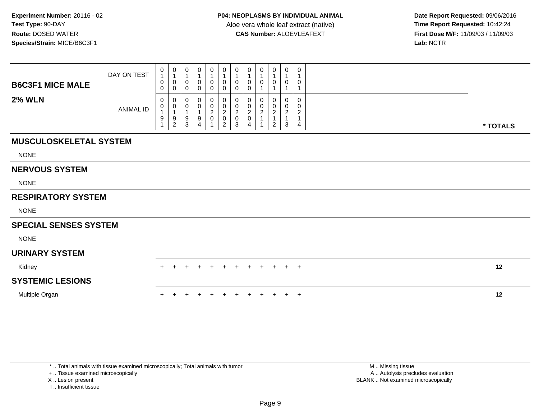**Date Report Requested:** 09/06/2016 **First Dose M/F:** 11/09/03 / 11/09/03<br>Lab: NCTR **Lab:** NCTR

| <b>B6C3F1 MICE MALE</b>       | DAY ON TEST      | $\begin{smallmatrix}0\1\end{smallmatrix}$<br>$\pmb{0}$<br>$\mathbf 0$ | $\begin{smallmatrix}0\\1\end{smallmatrix}$<br>$\pmb{0}$<br>$\mathsf{O}\xspace$ | $\begin{smallmatrix}0\\1\end{smallmatrix}$<br>$\pmb{0}$<br>$\mathbf 0$ | 0<br>1<br>0<br>0      | 0<br>1<br>$\pmb{0}$<br>0       | 0<br>0<br>0                               | 0<br>$\mathbf{1}$<br>0<br>$\mathbf 0$ | 0<br>$\pmb{0}$<br>$\pmb{0}$                      | $\mathbf 0$<br>0                   | 0<br>0                               | 0<br>$\mathbf{1}$<br>$\pmb{0}$<br>1                   | 0<br>1<br>0<br>1                                       |          |
|-------------------------------|------------------|-----------------------------------------------------------------------|--------------------------------------------------------------------------------|------------------------------------------------------------------------|-----------------------|--------------------------------|-------------------------------------------|---------------------------------------|--------------------------------------------------|------------------------------------|--------------------------------------|-------------------------------------------------------|--------------------------------------------------------|----------|
| <b>2% WLN</b>                 | <b>ANIMAL ID</b> | 0<br>$\pmb{0}$<br>$\mathbf{1}$<br>9<br>1                              | 0<br>$\pmb{0}$<br>$\overline{1}$<br>$\frac{9}{2}$                              | $\mathbf 0$<br>0<br>$\mathbf{1}$<br>9<br>$\overline{3}$                | 0<br>0<br>1<br>9<br>4 | 0<br>$\pmb{0}$<br>$^2_{\rm 0}$ | 0<br>0<br>$\frac{2}{0}$<br>$\overline{2}$ | 0<br>$\frac{0}{2}$<br>$\mathbf{3}$    | 0<br>$\pmb{0}$<br>$^2_{\rm 0}$<br>$\overline{4}$ | $\mathbf 0$<br>0<br>$\overline{c}$ | $\Omega$<br>0<br>$\overline{c}$<br>2 | 0<br>$\pmb{0}$<br>$\overline{c}$<br>$\mathbf{1}$<br>3 | $\mathbf 0$<br>0<br>$\overline{c}$<br>$\mathbf 1$<br>4 | * TOTALS |
| <b>MUSCULOSKELETAL SYSTEM</b> |                  |                                                                       |                                                                                |                                                                        |                       |                                |                                           |                                       |                                                  |                                    |                                      |                                                       |                                                        |          |
| <b>NONE</b>                   |                  |                                                                       |                                                                                |                                                                        |                       |                                |                                           |                                       |                                                  |                                    |                                      |                                                       |                                                        |          |
| <b>NERVOUS SYSTEM</b>         |                  |                                                                       |                                                                                |                                                                        |                       |                                |                                           |                                       |                                                  |                                    |                                      |                                                       |                                                        |          |
| <b>NONE</b>                   |                  |                                                                       |                                                                                |                                                                        |                       |                                |                                           |                                       |                                                  |                                    |                                      |                                                       |                                                        |          |
| <b>RESPIRATORY SYSTEM</b>     |                  |                                                                       |                                                                                |                                                                        |                       |                                |                                           |                                       |                                                  |                                    |                                      |                                                       |                                                        |          |
| <b>NONE</b>                   |                  |                                                                       |                                                                                |                                                                        |                       |                                |                                           |                                       |                                                  |                                    |                                      |                                                       |                                                        |          |
| <b>SPECIAL SENSES SYSTEM</b>  |                  |                                                                       |                                                                                |                                                                        |                       |                                |                                           |                                       |                                                  |                                    |                                      |                                                       |                                                        |          |
| <b>NONE</b>                   |                  |                                                                       |                                                                                |                                                                        |                       |                                |                                           |                                       |                                                  |                                    |                                      |                                                       |                                                        |          |
| <b>URINARY SYSTEM</b>         |                  |                                                                       |                                                                                |                                                                        |                       |                                |                                           |                                       |                                                  |                                    |                                      |                                                       |                                                        |          |
| Kidney                        |                  | $+$                                                                   | $\pm$                                                                          | $+$                                                                    | $\pm$                 | $+$                            | $+$                                       | $+$                                   | $+$                                              | $+$                                | $+$                                  | $+$                                                   | $+$                                                    | 12       |
| <b>SYSTEMIC LESIONS</b>       |                  |                                                                       |                                                                                |                                                                        |                       |                                |                                           |                                       |                                                  |                                    |                                      |                                                       |                                                        |          |
| Multiple Organ                |                  |                                                                       |                                                                                |                                                                        |                       |                                |                                           |                                       |                                                  |                                    |                                      | $\pm$                                                 | $^{+}$                                                 | 12       |

+ .. Tissue examined microscopically

X .. Lesion present

I .. Insufficient tissue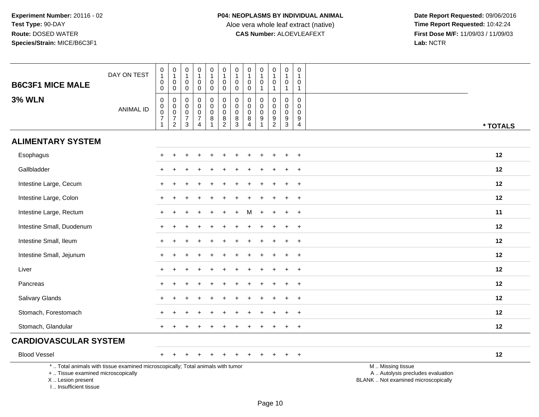| <b>B6C3F1 MICE MALE</b>                                                          | DAY ON TEST                                                                     | $\mathbf 0$<br>$\mathbf{1}$<br>$\mathsf{O}\xspace$<br>$\mathbf 0$    | $\pmb{0}$<br>$\mathbf{1}$<br>$\pmb{0}$<br>$\mathbf 0$                              | $\pmb{0}$<br>$\mathbf{1}$<br>$\overline{0}$<br>$\mathbf 0$       | $\pmb{0}$<br>$\mathbf{1}$<br>$\mathbf 0$<br>$\mathbf 0$        | $\mathsf{O}\xspace$<br>$\mathbf{1}$<br>$\mathbf 0$<br>0 | $\pmb{0}$<br>$\mathbf{1}$<br>$\pmb{0}$<br>0               | $\pmb{0}$<br>$\overline{1}$<br>$\mathbf 0$<br>$\mathbf 0$      | $\pmb{0}$<br>$\overline{1}$<br>$\mathbf 0$<br>$\mathbf 0$ | $\pmb{0}$<br>$\mathbf{1}$<br>$\mathbf 0$<br>$\overline{1}$    | $\pmb{0}$<br>$\mathbf{1}$<br>0<br>1                    | $\pmb{0}$<br>$\mathbf{1}$<br>$\mathbf 0$<br>$\mathbf{1}$        | $\pmb{0}$<br>$\overline{1}$<br>$\mathbf 0$<br>$\mathbf{1}$       |                                                                                               |
|----------------------------------------------------------------------------------|---------------------------------------------------------------------------------|----------------------------------------------------------------------|------------------------------------------------------------------------------------|------------------------------------------------------------------|----------------------------------------------------------------|---------------------------------------------------------|-----------------------------------------------------------|----------------------------------------------------------------|-----------------------------------------------------------|---------------------------------------------------------------|--------------------------------------------------------|-----------------------------------------------------------------|------------------------------------------------------------------|-----------------------------------------------------------------------------------------------|
| <b>3% WLN</b>                                                                    | <b>ANIMAL ID</b>                                                                | 0<br>$\mathbf 0$<br>$\overline{0}$<br>$\overline{7}$<br>$\mathbf{1}$ | $\pmb{0}$<br>$\mathsf{O}\xspace$<br>$\overline{0}$<br>$\overline{7}$<br>$\sqrt{2}$ | $\mathbf 0$<br>$\mathbf 0$<br>$\mathbf 0$<br>$\overline{7}$<br>3 | $\mathbf 0$<br>$\mathbf 0$<br>$\pmb{0}$<br>$\overline{7}$<br>4 | 0<br>0<br>$\mathsf{O}\xspace$<br>8                      | $\pmb{0}$<br>$\pmb{0}$<br>$\overline{0}$<br>$\frac{8}{2}$ | $\pmb{0}$<br>$\mathbf 0$<br>$\pmb{0}$<br>$\bf 8$<br>$\sqrt{3}$ | $\mathbf 0$<br>$\mathbf 0$<br>0<br>8<br>$\overline{4}$    | $\mathbf 0$<br>$\Omega$<br>$\mathbf 0$<br>9<br>$\overline{1}$ | 0<br>$\mathbf 0$<br>$\mathbf 0$<br>9<br>$\overline{2}$ | 0<br>$\pmb{0}$<br>$\bar{0}$<br>$\boldsymbol{9}$<br>$\mathbf{3}$ | $\mathbf 0$<br>$\mathbf 0$<br>$\mathbf 0$<br>9<br>$\overline{4}$ | * TOTALS                                                                                      |
| <b>ALIMENTARY SYSTEM</b>                                                         |                                                                                 |                                                                      |                                                                                    |                                                                  |                                                                |                                                         |                                                           |                                                                |                                                           |                                                               |                                                        |                                                                 |                                                                  |                                                                                               |
| Esophagus                                                                        |                                                                                 |                                                                      |                                                                                    |                                                                  |                                                                |                                                         |                                                           |                                                                |                                                           |                                                               |                                                        |                                                                 | $\overline{+}$                                                   | 12                                                                                            |
| Gallbladder                                                                      |                                                                                 |                                                                      |                                                                                    |                                                                  |                                                                |                                                         |                                                           |                                                                |                                                           |                                                               |                                                        |                                                                 | $\ddot{}$                                                        | 12                                                                                            |
| Intestine Large, Cecum                                                           |                                                                                 |                                                                      |                                                                                    |                                                                  |                                                                |                                                         |                                                           |                                                                |                                                           |                                                               |                                                        |                                                                 | $\ddot{}$                                                        | 12                                                                                            |
| Intestine Large, Colon                                                           |                                                                                 |                                                                      |                                                                                    |                                                                  |                                                                |                                                         |                                                           |                                                                |                                                           |                                                               |                                                        |                                                                 | $\ddot{}$                                                        | 12                                                                                            |
| Intestine Large, Rectum                                                          |                                                                                 |                                                                      |                                                                                    |                                                                  |                                                                |                                                         |                                                           |                                                                |                                                           |                                                               |                                                        |                                                                 | $\overline{+}$                                                   | 11                                                                                            |
| Intestine Small, Duodenum                                                        |                                                                                 |                                                                      |                                                                                    |                                                                  |                                                                |                                                         |                                                           |                                                                |                                                           |                                                               |                                                        |                                                                 | $\ddot{}$                                                        | 12                                                                                            |
| Intestine Small, Ileum                                                           |                                                                                 | $+$                                                                  |                                                                                    |                                                                  |                                                                |                                                         |                                                           |                                                                |                                                           |                                                               |                                                        | $\ddot{}$                                                       | $+$                                                              | 12                                                                                            |
| Intestine Small, Jejunum                                                         |                                                                                 | +                                                                    |                                                                                    |                                                                  |                                                                |                                                         |                                                           |                                                                |                                                           |                                                               |                                                        |                                                                 | $\overline{+}$                                                   | 12                                                                                            |
| Liver                                                                            |                                                                                 |                                                                      |                                                                                    |                                                                  |                                                                |                                                         |                                                           |                                                                |                                                           |                                                               |                                                        |                                                                 | $\ddot{}$                                                        | 12                                                                                            |
| Pancreas                                                                         |                                                                                 |                                                                      |                                                                                    |                                                                  |                                                                |                                                         |                                                           |                                                                |                                                           |                                                               |                                                        |                                                                 | $\ddot{}$                                                        | 12                                                                                            |
| Salivary Glands                                                                  |                                                                                 |                                                                      |                                                                                    |                                                                  |                                                                |                                                         |                                                           |                                                                |                                                           |                                                               |                                                        |                                                                 | $+$                                                              | 12                                                                                            |
| Stomach, Forestomach                                                             |                                                                                 |                                                                      |                                                                                    |                                                                  |                                                                |                                                         |                                                           |                                                                |                                                           |                                                               |                                                        |                                                                 | $\overline{+}$                                                   | 12                                                                                            |
| Stomach, Glandular                                                               |                                                                                 |                                                                      |                                                                                    |                                                                  |                                                                |                                                         |                                                           |                                                                |                                                           |                                                               |                                                        |                                                                 | $\overline{+}$                                                   | 12                                                                                            |
| <b>CARDIOVASCULAR SYSTEM</b>                                                     |                                                                                 |                                                                      |                                                                                    |                                                                  |                                                                |                                                         |                                                           |                                                                |                                                           |                                                               |                                                        |                                                                 |                                                                  |                                                                                               |
| <b>Blood Vessel</b>                                                              |                                                                                 |                                                                      |                                                                                    |                                                                  |                                                                |                                                         |                                                           |                                                                |                                                           |                                                               |                                                        |                                                                 | $\ddot{}$                                                        | 12                                                                                            |
| +  Tissue examined microscopically<br>X  Lesion present<br>I Insufficient tissue | *  Total animals with tissue examined microscopically; Total animals with tumor |                                                                      |                                                                                    |                                                                  |                                                                |                                                         |                                                           |                                                                |                                                           |                                                               |                                                        |                                                                 |                                                                  | M  Missing tissue<br>A  Autolysis precludes evaluation<br>BLANK  Not examined microscopically |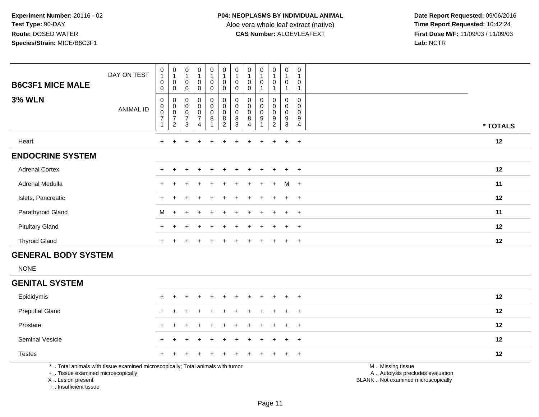**Date Report Requested:** 09/06/2016 **First Dose M/F:** 11/09/03 / 11/09/03<br>Lab: NCTR **Lab:** NCTR

| <b>B6C3F1 MICE MALE</b> | DAY ON TEST | 0<br>0<br>$\mathbf 0$                       | $\begin{smallmatrix}0\\1\end{smallmatrix}$<br>$\pmb{0}$<br>$\mathbf 0$ | $\begin{smallmatrix}0\1\end{smallmatrix}$<br>$\pmb{0}$<br>$\mathbf 0$ | $\frac{0}{4}$<br>0<br>0                         | $\begin{smallmatrix}0\\1\end{smallmatrix}$<br>$\pmb{0}$<br>$\mathbf 0$ | $\begin{smallmatrix}0\\1\end{smallmatrix}$<br>$\pmb{0}$<br>0 | $\pmb{0}$<br>1<br>$\mathbf 0$<br>0           | $\mathbf 0$<br>0<br>0           | $\begin{smallmatrix}0\\1\end{smallmatrix}$<br>$\pmb{0}$ | $\pmb{0}$<br>$\overline{A}$<br>$\mathbf 0$                        | $\begin{smallmatrix}0\\1\end{smallmatrix}$<br>$\boldsymbol{0}$ | $\pmb{0}$<br>$\mathbf{1}$<br>$\mathsf 0$                                    |          |
|-------------------------|-------------|---------------------------------------------|------------------------------------------------------------------------|-----------------------------------------------------------------------|-------------------------------------------------|------------------------------------------------------------------------|--------------------------------------------------------------|----------------------------------------------|---------------------------------|---------------------------------------------------------|-------------------------------------------------------------------|----------------------------------------------------------------|-----------------------------------------------------------------------------|----------|
| <b>3% WLN</b>           | ANIMAL ID   | 0<br>$\pmb{0}$<br>$\,0\,$<br>$\overline{7}$ | 000072                                                                 | 0<br>$\begin{matrix} 0 \\ 0 \\ 7 \end{matrix}$<br>$\mathbf{3}$        | 0<br>0<br>0<br>$\overline{7}$<br>$\overline{4}$ | $\begin{smallmatrix}0\\0\\0\end{smallmatrix}$<br>$\,8\,$               | $_{\rm 0}^{\rm 0}$<br>$_{\rm 8}^{\rm 0}$<br>$\overline{2}$   | 0<br>$\pmb{0}$<br>$\boldsymbol{0}$<br>8<br>3 | 0<br>0<br>$\mathbf 0$<br>8<br>4 | $\begin{matrix} 0 \\ 0 \\ 0 \end{matrix}$<br>9          | 0<br>$\pmb{0}$<br>$\pmb{0}$<br>$\boldsymbol{9}$<br>$\overline{c}$ | 0<br>$\pmb{0}$<br>$\pmb{0}$<br>$\frac{9}{3}$                   | $\pmb{0}$<br>$\pmb{0}$<br>$\mathsf 0$<br>$\boldsymbol{9}$<br>$\overline{4}$ | * TOTALS |
| Heart                   |             | $+$                                         |                                                                        | $\ddot{}$                                                             | $+$                                             |                                                                        |                                                              |                                              | $\ddot{}$                       | $\pm$                                                   | $\ddot{}$                                                         | $+$ $+$                                                        |                                                                             | 12       |
| <b>ENDOCRINE SYSTEM</b> |             |                                             |                                                                        |                                                                       |                                                 |                                                                        |                                                              |                                              |                                 |                                                         |                                                                   |                                                                |                                                                             |          |
| <b>Adrenal Cortex</b>   |             | $\ddot{}$                                   |                                                                        | $\div$                                                                | $\div$                                          |                                                                        |                                                              |                                              |                                 | $+$                                                     | $\pm$                                                             | $+$                                                            | $+$                                                                         | 12       |
| Adrenal Medulla         |             | $\ddot{}$                                   |                                                                        |                                                                       | $\div$                                          |                                                                        |                                                              | $+$                                          | $+$                             | $+$                                                     | $+$                                                               | $M +$                                                          |                                                                             | 11       |
| Islets, Pancreatic      |             |                                             |                                                                        |                                                                       | ÷                                               |                                                                        |                                                              |                                              |                                 | $+$                                                     | $+$                                                               | $+$ $+$                                                        |                                                                             | 12       |
| Parathyroid Gland       |             | M                                           | $+$                                                                    | $+$                                                                   | $\div$                                          |                                                                        |                                                              |                                              |                                 |                                                         |                                                                   | $+$ $+$                                                        |                                                                             | 11       |
| <b>Pituitary Gland</b>  |             | $\ddot{}$                                   |                                                                        | ÷                                                                     | $\pm$                                           |                                                                        |                                                              |                                              |                                 | $\pm$                                                   |                                                                   | $+$                                                            | $+$                                                                         | 12       |
| <b>Thyroid Gland</b>    |             | $\ddot{}$                                   |                                                                        |                                                                       |                                                 |                                                                        |                                                              |                                              |                                 |                                                         |                                                                   | $+$                                                            | $+$                                                                         | 12       |

## **GENERAL BODY SYSTEM**

NONE

#### **GENITAL SYSTEM**

| Epididymis                                                                                                      | + + + + + + + + + + + | 12 |
|-----------------------------------------------------------------------------------------------------------------|-----------------------|----|
| <b>Preputial Gland</b>                                                                                          | + + + + + + + + + + + | 12 |
| Prostate                                                                                                        | + + + + + + + + + + + | 12 |
| <b>Seminal Vesicle</b>                                                                                          | + + + + + + + + + + + | 12 |
| <b>Testes</b>                                                                                                   | + + + + + + + + + + + | 12 |
| rende and the second contract of the contract of the contract of the contract of the contract of the contract o |                       |    |

\* .. Total animals with tissue examined microscopically; Total animals with tumor

+ .. Tissue examined microscopically

X .. Lesion present

I .. Insufficient tissue

M .. Missing tissue

y the contract of the contract of the contract of the contract of the contract of the contract of the contract of  $A$ . Autolysis precludes evaluation

Lesion present BLANK .. Not examined microscopically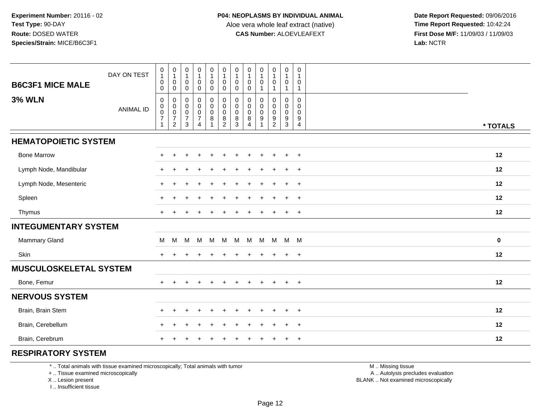**Date Report Requested:** 09/06/2016 **First Dose M/F:** 11/09/03 / 11/09/03<br>Lab: NCTR **Lab:** NCTR

| <b>B6C3F1 MICE MALE</b>       | DAY ON TEST      | $\begin{smallmatrix}0\\1\end{smallmatrix}$<br>$\mathbf 0$                                  | $\pmb{0}$<br>$\mathbf{1}$<br>$\mathbf 0$                                                        | 0<br>$\mathbf 1$<br>0                                     | $\pmb{0}$<br>$\mathbf{1}$<br>$\mathbf 0$                                                           | $\pmb{0}$<br>$\mathbf{1}$<br>$\mathsf{O}$                         | $\pmb{0}$<br>$\mathbf{1}$<br>$\mathbf 0$                                                                 | $\pmb{0}$<br>$\mathbf{1}$<br>$\mathbf 0$                       | 0<br>$\mathbf 1$<br>$\mathbf 0$             | $\pmb{0}$<br>$\mathbf 0$                                    | $\pmb{0}$<br>$\overline{1}$<br>$\mathbf 0$                                 | $\pmb{0}$<br>$\mathbf{1}$<br>$\mathbf 0$                                     | 0<br>0                                                    |             |
|-------------------------------|------------------|--------------------------------------------------------------------------------------------|-------------------------------------------------------------------------------------------------|-----------------------------------------------------------|----------------------------------------------------------------------------------------------------|-------------------------------------------------------------------|----------------------------------------------------------------------------------------------------------|----------------------------------------------------------------|---------------------------------------------|-------------------------------------------------------------|----------------------------------------------------------------------------|------------------------------------------------------------------------------|-----------------------------------------------------------|-------------|
| <b>3% WLN</b>                 | <b>ANIMAL ID</b> | $\boldsymbol{0}$<br>$\pmb{0}$<br>$\begin{matrix} 0 \\ 0 \\ 7 \end{matrix}$<br>$\mathbf{1}$ | $\mathsf{O}\xspace$<br>$\mathbf 0$<br>$\mathbf 0$<br>$\ddot{\mathbf{0}}$<br>$\overline{7}$<br>2 | $\mathbf 0$<br>0<br>0<br>$\pmb{0}$<br>$\overline{7}$<br>3 | $\mathbf 0$<br>$\pmb{0}$<br>$\mathbf 0$<br>$\pmb{0}$<br>$\boldsymbol{7}$<br>$\boldsymbol{\Lambda}$ | 0<br>0<br>$\pmb{0}$<br>$\mathsf{O}\xspace$<br>8<br>$\overline{1}$ | $\mathbf 0$<br>$\pmb{0}$<br>$\mathbf 0$<br>$\mathsf 0$<br>$\begin{smallmatrix} 8 \\ 2 \end{smallmatrix}$ | 0<br>$\mathbf 0$<br>$\mathsf{O}\xspace$<br>$\pmb{0}$<br>$^8_3$ | 0<br>0<br>0<br>$\mathbf 0$<br>$\frac{8}{4}$ | 0<br>$\mathbf 0$<br>$\mathsf{O}\xspace$<br>$\boldsymbol{9}$ | $\overline{1}$<br>0<br>$\mathbf 0$<br>$\ddot{\mathbf{0}}$<br>$\frac{9}{2}$ | $\overline{1}$<br>$\mathbf 0$<br>$\mathbf 0$<br>$\mathbf 0$<br>$\frac{9}{3}$ | $\mathbf{1}$<br>0<br>$\Omega$<br>0<br>9<br>$\overline{4}$ | * TOTALS    |
| <b>HEMATOPOIETIC SYSTEM</b>   |                  |                                                                                            |                                                                                                 |                                                           |                                                                                                    |                                                                   |                                                                                                          |                                                                |                                             |                                                             |                                                                            |                                                                              |                                                           |             |
| <b>Bone Marrow</b>            |                  |                                                                                            | ÷                                                                                               |                                                           |                                                                                                    | +                                                                 |                                                                                                          |                                                                |                                             | $\overline{ }$                                              | $\ddot{}$                                                                  | $\ddot{}$                                                                    | $^{+}$                                                    | 12          |
| Lymph Node, Mandibular        |                  |                                                                                            | ÷.                                                                                              |                                                           |                                                                                                    |                                                                   |                                                                                                          |                                                                |                                             |                                                             |                                                                            | $\ddot{}$                                                                    | $+$                                                       | 12          |
| Lymph Node, Mesenteric        |                  | $+$                                                                                        | $\ddot{}$                                                                                       |                                                           |                                                                                                    |                                                                   |                                                                                                          |                                                                |                                             |                                                             |                                                                            | $\ddot{}$                                                                    | $+$                                                       | 12          |
| Spleen                        |                  | $\pm$                                                                                      | $\ddot{}$                                                                                       |                                                           |                                                                                                    |                                                                   |                                                                                                          |                                                                |                                             |                                                             |                                                                            | $\ddot{}$                                                                    | $\ddot{}$                                                 | 12          |
| Thymus                        |                  |                                                                                            |                                                                                                 |                                                           |                                                                                                    |                                                                   |                                                                                                          |                                                                |                                             |                                                             |                                                                            | $\ddot{}$                                                                    | $\ddot{}$                                                 | 12          |
| <b>INTEGUMENTARY SYSTEM</b>   |                  |                                                                                            |                                                                                                 |                                                           |                                                                                                    |                                                                   |                                                                                                          |                                                                |                                             |                                                             |                                                                            |                                                                              |                                                           |             |
| Mammary Gland                 |                  | м                                                                                          | M                                                                                               | M                                                         | M                                                                                                  | M                                                                 | M                                                                                                        | M                                                              | M                                           | M                                                           | M                                                                          | M M                                                                          |                                                           | $\mathbf 0$ |
| Skin                          |                  |                                                                                            |                                                                                                 |                                                           |                                                                                                    |                                                                   |                                                                                                          |                                                                |                                             |                                                             |                                                                            | $\ddot{}$                                                                    | $\overline{+}$                                            | 12          |
| <b>MUSCULOSKELETAL SYSTEM</b> |                  |                                                                                            |                                                                                                 |                                                           |                                                                                                    |                                                                   |                                                                                                          |                                                                |                                             |                                                             |                                                                            |                                                                              |                                                           |             |
| Bone, Femur                   |                  | $+$                                                                                        | $\overline{+}$                                                                                  |                                                           |                                                                                                    | $+$                                                               |                                                                                                          | $\ddot{}$                                                      | $\ddot{}$                                   | $\overline{+}$                                              | $+$                                                                        | $+$                                                                          | $^{+}$                                                    | 12          |
| <b>NERVOUS SYSTEM</b>         |                  |                                                                                            |                                                                                                 |                                                           |                                                                                                    |                                                                   |                                                                                                          |                                                                |                                             |                                                             |                                                                            |                                                                              |                                                           |             |
| Brain, Brain Stem             |                  |                                                                                            | $\ddot{}$                                                                                       |                                                           |                                                                                                    | ÷.                                                                |                                                                                                          |                                                                |                                             |                                                             | $\div$                                                                     | $\div$                                                                       | $\ddot{}$                                                 | 12          |
| Brain, Cerebellum             |                  |                                                                                            | $\div$                                                                                          |                                                           |                                                                                                    | $\div$                                                            |                                                                                                          |                                                                |                                             |                                                             | $\ddot{}$                                                                  | $\ddot{}$                                                                    | $\ddot{}$                                                 | 12          |
| Brain, Cerebrum               |                  |                                                                                            |                                                                                                 |                                                           |                                                                                                    |                                                                   |                                                                                                          |                                                                |                                             |                                                             |                                                                            | $\pm$                                                                        | $\ddot{}$                                                 | 12          |

#### **RESPIRATORY SYSTEM**

\* .. Total animals with tissue examined microscopically; Total animals with tumor

+ .. Tissue examined microscopically

X .. Lesion present

I .. Insufficient tissue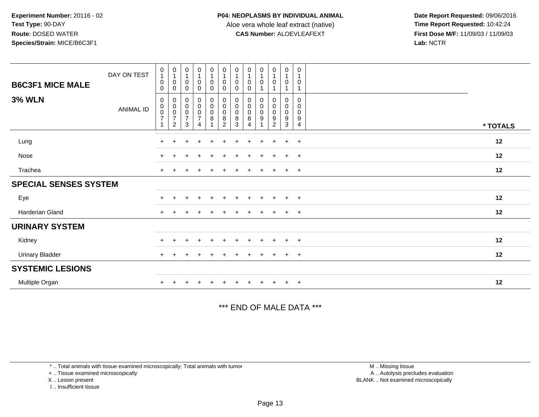**Date Report Requested:** 09/06/2016 **First Dose M/F:** 11/09/03 / 11/09/03<br>Lab: NCTR **Lab:** NCTR

| <b>B6C3F1 MICE MALE</b>      | DAY ON TEST      | $\begin{smallmatrix}0\\1\end{smallmatrix}$<br>$\pmb{0}$<br>$\mathbf 0$ | $\begin{smallmatrix}0\\1\end{smallmatrix}$<br>0<br>$\mathbf 0$    | $\begin{smallmatrix}0\\1\end{smallmatrix}$<br>$\mathbf 0$<br>$\mathbf 0$ | $\begin{smallmatrix}0\1\end{smallmatrix}$<br>0<br>$\mathbf 0$ | $\begin{smallmatrix}0\\1\end{smallmatrix}$<br>$\pmb{0}$<br>$\mathsf 0$ | $\begin{smallmatrix}0\\1\end{smallmatrix}$<br>$\pmb{0}$<br>$\mathbf 0$ | $\begin{smallmatrix}0\\1\end{smallmatrix}$<br>0<br>$\mathbf 0$      | $\begin{smallmatrix}0\\1\end{smallmatrix}$<br>0<br>$\mathbf 0$ | $\bf{0}$<br>0              | $\begin{smallmatrix}0\1\end{smallmatrix}$<br>$\pmb{0}$ | $\pmb{0}$<br>$\overline{1}$<br>$\pmb{0}$             | 0<br>$\overline{1}$<br>0                     |          |  |
|------------------------------|------------------|------------------------------------------------------------------------|-------------------------------------------------------------------|--------------------------------------------------------------------------|---------------------------------------------------------------|------------------------------------------------------------------------|------------------------------------------------------------------------|---------------------------------------------------------------------|----------------------------------------------------------------|----------------------------|--------------------------------------------------------|------------------------------------------------------|----------------------------------------------|----------|--|
| <b>3% WLN</b>                | <b>ANIMAL ID</b> | $\mathbf 0$<br>$\pmb{0}$<br>$\pmb{0}$<br>$\overline{7}$                | 0<br>$\pmb{0}$<br>$\pmb{0}$<br>$\boldsymbol{7}$<br>$\overline{2}$ | 0<br>$\pmb{0}$<br>$\pmb{0}$<br>$\overline{\mathcal{I}}$<br>3             | $_0^0$<br>0<br>$\overline{7}$<br>4                            | $_{\rm 0}^{\rm 0}$<br>$\pmb{0}$<br>8                                   | $_{\rm 0}^{\rm 0}$<br>$\pmb{0}$<br>$\,8\,$<br>$\overline{2}$           | $\begin{smallmatrix} 0\\0 \end{smallmatrix}$<br>$\pmb{0}$<br>8<br>3 | 0<br>$\pmb{0}$<br>$\pmb{0}$<br>8<br>4                          | 0<br>$\mathbf 0$<br>0<br>9 | 0<br>$\mathbf 0$<br>0<br>9<br>$\overline{2}$           | 0<br>$\pmb{0}$<br>$\pmb{0}$<br>$\boldsymbol{9}$<br>3 | $\mathbf 0$<br>0<br>0<br>9<br>$\overline{4}$ | * TOTALS |  |
| Lung                         |                  | $+$                                                                    | $\ddot{}$                                                         |                                                                          |                                                               | $\div$                                                                 | $\div$                                                                 | ÷                                                                   | ÷                                                              | $\mathbf +$                | $\ddot{}$                                              | $+$                                                  | $+$                                          | 12       |  |
| Nose                         |                  | $\pm$                                                                  |                                                                   |                                                                          | $\ddot{}$                                                     | $+$                                                                    | $\ddot{}$                                                              | $\pm$                                                               | $\pm$                                                          | $\ddot{}$                  | $+$                                                    | $+$                                                  | $+$                                          | 12       |  |
| Trachea                      |                  | $\ddot{}$                                                              |                                                                   |                                                                          |                                                               |                                                                        |                                                                        |                                                                     |                                                                |                            | $\pm$                                                  | $+$                                                  | $+$                                          | 12       |  |
| <b>SPECIAL SENSES SYSTEM</b> |                  |                                                                        |                                                                   |                                                                          |                                                               |                                                                        |                                                                        |                                                                     |                                                                |                            |                                                        |                                                      |                                              |          |  |
| Eye                          |                  | $\ddot{}$                                                              |                                                                   |                                                                          | $\ddot{}$                                                     | $\ddot{}$                                                              | $+$                                                                    | $\pm$                                                               | $\ddot{}$                                                      | $\ddot{}$                  | $+$                                                    | $+$                                                  | $+$                                          | 12       |  |
| Harderian Gland              |                  | $\pm$                                                                  |                                                                   |                                                                          |                                                               |                                                                        |                                                                        |                                                                     |                                                                |                            |                                                        | $+$                                                  | $+$                                          | 12       |  |
| <b>URINARY SYSTEM</b>        |                  |                                                                        |                                                                   |                                                                          |                                                               |                                                                        |                                                                        |                                                                     |                                                                |                            |                                                        |                                                      |                                              |          |  |
| Kidney                       |                  |                                                                        |                                                                   |                                                                          | $\ddot{}$                                                     | $+$                                                                    | $\pm$                                                                  |                                                                     |                                                                | $\ddot{}$                  | $+$                                                    | $+$                                                  | $+$                                          | 12       |  |
| <b>Urinary Bladder</b>       |                  | $+$                                                                    | $\pm$                                                             |                                                                          |                                                               | $\pm$                                                                  | $\pm$                                                                  | $\pm$                                                               | $\pm$                                                          | $\ddot{}$                  | $\ddot{}$                                              | $+$                                                  | $+$                                          | 12       |  |
| <b>SYSTEMIC LESIONS</b>      |                  |                                                                        |                                                                   |                                                                          |                                                               |                                                                        |                                                                        |                                                                     |                                                                |                            |                                                        |                                                      |                                              |          |  |
| Multiple Organ               |                  |                                                                        |                                                                   |                                                                          |                                                               |                                                                        |                                                                        |                                                                     |                                                                |                            |                                                        | $+$                                                  | $\overline{+}$                               | 12       |  |

\*\*\* END OF MALE DATA \*\*\*

\* .. Total animals with tissue examined microscopically; Total animals with tumor

+ .. Tissue examined microscopically

X .. Lesion present

I .. Insufficient tissue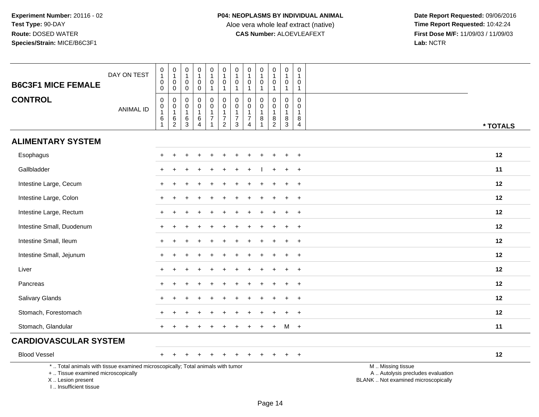| <b>B6C3F1 MICE FEMALE</b>                                                                                                                                           | DAY ON TEST      | $\begin{smallmatrix}0\\1\end{smallmatrix}$<br>$\mathbf 0$<br>$\mathbf 0$                          | $\begin{smallmatrix}0\\1\end{smallmatrix}$<br>$\mathbf 0$<br>$\mathsf 0$ | $\pmb{0}$<br>$\overline{1}$<br>0<br>$\mathbf 0$        | $\pmb{0}$<br>$\mathbf{1}$<br>$\mathsf{O}\xspace$<br>$\mathbf 0$      | $\pmb{0}$<br>$\mathbf{1}$<br>$\mathsf 0$<br>$\mathbf{1}$ | 0<br>$\overline{1}$<br>$\mathbf 0$<br>$\mathbf{1}$          | $\pmb{0}$<br>$\mathbf{1}$<br>$\mathbf 0$<br>$\mathbf{1}$         | $\pmb{0}$<br>$\mathbf{1}$<br>$\mathbf 0$<br>$\mathbf{1}$                        | $\mathbf 0$<br>$\mathbf{1}$<br>$\mathbf 0$<br>$\mathbf{1}$ | $\,0\,$<br>$\mathbf{1}$<br>$\mathbf 0$<br>$\mathbf{1}$              | 0<br>$\mathbf{1}$<br>0<br>$\mathbf{1}$                     | 0<br>$\mathbf{1}$<br>0<br>$\mathbf{1}$ |                                                                                               |
|---------------------------------------------------------------------------------------------------------------------------------------------------------------------|------------------|---------------------------------------------------------------------------------------------------|--------------------------------------------------------------------------|--------------------------------------------------------|----------------------------------------------------------------------|----------------------------------------------------------|-------------------------------------------------------------|------------------------------------------------------------------|---------------------------------------------------------------------------------|------------------------------------------------------------|---------------------------------------------------------------------|------------------------------------------------------------|----------------------------------------|-----------------------------------------------------------------------------------------------|
| <b>CONTROL</b>                                                                                                                                                      | <b>ANIMAL ID</b> | $\mathbf 0$<br>$\begin{smallmatrix}0\1\end{smallmatrix}$<br>$\begin{array}{c} 6 \\ 1 \end{array}$ | 0<br>$\begin{smallmatrix}0\\1\end{smallmatrix}$<br>$^6_2$                | $\mathbf 0$<br>$\mathsf 0$<br>$\overline{1}$<br>6<br>3 | $\Omega$<br>$\mathbf 0$<br>$\mathbf{1}$<br>$\,6\,$<br>$\overline{A}$ | 0<br>$\mathbf 0$<br>1<br>$\overline{7}$                  | $\mathbf 0$<br>$\mathbf 0$<br>$\mathbf{1}$<br>$\frac{7}{2}$ | 0<br>$\pmb{0}$<br>$\mathbf{1}$<br>$\overline{7}$<br>$\mathbf{3}$ | $\mathbf{0}$<br>$\mathbf 0$<br>$\mathbf{1}$<br>$\overline{7}$<br>$\overline{4}$ | $\Omega$<br>$\mathbf 0$<br>$\overline{1}$<br>$\bf8$        | $\mathbf 0$<br>$\mathsf{O}\xspace$<br>$\mathbf{1}$<br>$\frac{8}{2}$ | $\mathbf 0$<br>$\mathbf 0$<br>$\mathbf{1}$<br>$\bf 8$<br>3 | $\Omega$<br>0<br>$\mathbf 1$<br>8<br>4 | * TOTALS                                                                                      |
| <b>ALIMENTARY SYSTEM</b>                                                                                                                                            |                  |                                                                                                   |                                                                          |                                                        |                                                                      |                                                          |                                                             |                                                                  |                                                                                 |                                                            |                                                                     |                                                            |                                        |                                                                                               |
| Esophagus                                                                                                                                                           |                  |                                                                                                   |                                                                          |                                                        |                                                                      |                                                          |                                                             |                                                                  |                                                                                 |                                                            |                                                                     |                                                            | $\ddot{}$                              | 12                                                                                            |
| Gallbladder                                                                                                                                                         |                  |                                                                                                   |                                                                          |                                                        |                                                                      |                                                          |                                                             |                                                                  |                                                                                 |                                                            |                                                                     |                                                            | $\ddot{}$                              | 11                                                                                            |
| Intestine Large, Cecum                                                                                                                                              |                  |                                                                                                   |                                                                          |                                                        |                                                                      |                                                          |                                                             |                                                                  |                                                                                 |                                                            |                                                                     |                                                            | $\div$                                 | 12                                                                                            |
| Intestine Large, Colon                                                                                                                                              |                  |                                                                                                   |                                                                          |                                                        |                                                                      |                                                          |                                                             |                                                                  |                                                                                 |                                                            |                                                                     |                                                            | $\div$                                 | 12                                                                                            |
| Intestine Large, Rectum                                                                                                                                             |                  |                                                                                                   |                                                                          |                                                        |                                                                      |                                                          |                                                             |                                                                  |                                                                                 |                                                            |                                                                     |                                                            | $\ddot{}$                              | 12                                                                                            |
| Intestine Small, Duodenum                                                                                                                                           |                  |                                                                                                   |                                                                          |                                                        |                                                                      |                                                          |                                                             |                                                                  |                                                                                 |                                                            |                                                                     |                                                            | $\pm$                                  | 12                                                                                            |
| Intestine Small, Ileum                                                                                                                                              |                  | $\pm$                                                                                             |                                                                          |                                                        |                                                                      |                                                          |                                                             |                                                                  |                                                                                 |                                                            |                                                                     | $\ddot{}$                                                  | $\ddot{}$                              | 12                                                                                            |
| Intestine Small, Jejunum                                                                                                                                            |                  |                                                                                                   |                                                                          |                                                        |                                                                      |                                                          |                                                             |                                                                  |                                                                                 |                                                            |                                                                     |                                                            | $\div$                                 | 12                                                                                            |
| Liver                                                                                                                                                               |                  |                                                                                                   |                                                                          |                                                        |                                                                      |                                                          |                                                             |                                                                  |                                                                                 |                                                            |                                                                     |                                                            | $\ddot{}$                              | 12                                                                                            |
| Pancreas                                                                                                                                                            |                  | $\pm$                                                                                             |                                                                          |                                                        |                                                                      |                                                          |                                                             |                                                                  |                                                                                 |                                                            |                                                                     |                                                            | $\ddot{}$                              | 12                                                                                            |
| <b>Salivary Glands</b>                                                                                                                                              |                  |                                                                                                   |                                                                          |                                                        |                                                                      |                                                          |                                                             |                                                                  |                                                                                 |                                                            |                                                                     |                                                            | $\ddot{}$                              | 12                                                                                            |
| Stomach, Forestomach                                                                                                                                                |                  |                                                                                                   |                                                                          |                                                        |                                                                      |                                                          |                                                             |                                                                  |                                                                                 |                                                            |                                                                     |                                                            |                                        | 12                                                                                            |
| Stomach, Glandular                                                                                                                                                  |                  | $+$                                                                                               |                                                                          |                                                        |                                                                      |                                                          |                                                             |                                                                  |                                                                                 |                                                            | $\ddot{}$                                                           | M +                                                        |                                        | 11                                                                                            |
| <b>CARDIOVASCULAR SYSTEM</b>                                                                                                                                        |                  |                                                                                                   |                                                                          |                                                        |                                                                      |                                                          |                                                             |                                                                  |                                                                                 |                                                            |                                                                     |                                                            |                                        |                                                                                               |
| <b>Blood Vessel</b>                                                                                                                                                 |                  | $+$                                                                                               |                                                                          |                                                        |                                                                      |                                                          |                                                             |                                                                  |                                                                                 |                                                            |                                                                     |                                                            | $+$                                    | 12                                                                                            |
| *  Total animals with tissue examined microscopically; Total animals with tumor<br>+  Tissue examined microscopically<br>X  Lesion present<br>I Insufficient tissue |                  |                                                                                                   |                                                                          |                                                        |                                                                      |                                                          |                                                             |                                                                  |                                                                                 |                                                            |                                                                     |                                                            |                                        | M  Missing tissue<br>A  Autolysis precludes evaluation<br>BLANK  Not examined microscopically |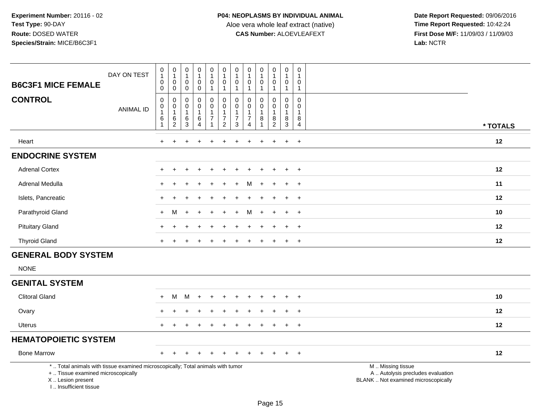| <b>B6C3F1 MICE FEMALE</b>                                                                                                                                           | DAY ON TEST      | $\mathbf 0$<br>$\overline{1}$<br>0<br>0               | $\pmb{0}$<br>$\mathbf{1}$<br>0<br>$\mathbf 0$ | $\pmb{0}$<br>$\mathbf{1}$<br>$\mathbf 0$<br>0 | $\begin{smallmatrix}0\\1\end{smallmatrix}$<br>0<br>0                  | $\pmb{0}$<br>$\mathbf{1}$<br>0<br>$\mathbf{1}$                         | $\pmb{0}$<br>$\overline{1}$<br>$\mathbf 0$<br>$\mathbf{1}$ | 0<br>$\mathbf{1}$<br>$\mathbf 0$<br>$\mathbf{1}$           | $\pmb{0}$<br>$\mathbf{1}$<br>0<br>$\mathbf{1}$                    | $\pmb{0}$<br>1<br>$\mathbf 0$      | $\mathsf{O}\xspace$<br>$\mathbf{1}$<br>$\mathbf 0$<br>$\mathbf{1}$ | $\mathsf 0$<br>$\mathbf{1}$<br>$\mathbf 0$<br>$\overline{1}$ | 0<br>1<br>0<br>$\mathbf{1}$                          |                                                                                               |
|---------------------------------------------------------------------------------------------------------------------------------------------------------------------|------------------|-------------------------------------------------------|-----------------------------------------------|-----------------------------------------------|-----------------------------------------------------------------------|------------------------------------------------------------------------|------------------------------------------------------------|------------------------------------------------------------|-------------------------------------------------------------------|------------------------------------|--------------------------------------------------------------------|--------------------------------------------------------------|------------------------------------------------------|-----------------------------------------------------------------------------------------------|
| <b>CONTROL</b>                                                                                                                                                      | <b>ANIMAL ID</b> | $\mathbf 0$<br>0<br>$\mathbf{1}$<br>6<br>$\mathbf{1}$ | 0<br>$\mathsf{O}$<br>$\mathbf{1}$<br>$^6_2$   | $\mathbf 0$<br>0<br>$\overline{1}$<br>$^6_3$  | $\mathbf 0$<br>$\mathbf 0$<br>$\mathbf{1}$<br>$\,6$<br>$\overline{4}$ | 0<br>$\mathbf 0$<br>$\overline{1}$<br>$\overline{7}$<br>$\overline{1}$ | $\mathbf 0$<br>$\pmb{0}$<br>$\mathbf{1}$<br>$\frac{7}{2}$  | 0<br>0<br>$\mathbf{1}$<br>$\overline{7}$<br>$\mathfrak{S}$ | $\Omega$<br>0<br>$\mathbf{1}$<br>$\overline{7}$<br>$\overline{4}$ | $\Omega$<br>0<br>$\mathbf{1}$<br>8 | $\mathbf 0$<br>0<br>$\mathbf{1}$<br>$^8_2$                         | $\mathbf 0$<br>0<br>$\overline{1}$<br>8<br>$\sqrt{3}$        | $\mathbf 0$<br>$\mathbf 0$<br>$\mathbf{1}$<br>8<br>4 | * TOTALS                                                                                      |
| Heart                                                                                                                                                               |                  | $\ddot{}$                                             |                                               |                                               |                                                                       |                                                                        |                                                            | ٠                                                          |                                                                   | $\div$                             | $\ddot{}$                                                          | $\ddot{}$                                                    | $+$                                                  | 12                                                                                            |
| <b>ENDOCRINE SYSTEM</b>                                                                                                                                             |                  |                                                       |                                               |                                               |                                                                       |                                                                        |                                                            |                                                            |                                                                   |                                    |                                                                    |                                                              |                                                      |                                                                                               |
| <b>Adrenal Cortex</b>                                                                                                                                               |                  |                                                       |                                               |                                               |                                                                       |                                                                        |                                                            |                                                            |                                                                   |                                    |                                                                    |                                                              | $\div$                                               | 12                                                                                            |
| Adrenal Medulla                                                                                                                                                     |                  |                                                       |                                               |                                               |                                                                       |                                                                        |                                                            |                                                            |                                                                   |                                    |                                                                    |                                                              | $\overline{ }$                                       | 11                                                                                            |
| Islets, Pancreatic                                                                                                                                                  |                  |                                                       |                                               |                                               |                                                                       |                                                                        |                                                            |                                                            |                                                                   |                                    |                                                                    | $\ddot{}$                                                    | $+$                                                  | 12                                                                                            |
| Parathyroid Gland                                                                                                                                                   |                  |                                                       | м                                             |                                               |                                                                       |                                                                        |                                                            |                                                            |                                                                   |                                    |                                                                    |                                                              | $\ddot{}$                                            | 10                                                                                            |
| <b>Pituitary Gland</b>                                                                                                                                              |                  |                                                       |                                               |                                               |                                                                       |                                                                        |                                                            |                                                            |                                                                   |                                    |                                                                    |                                                              | $\ddot{}$                                            | 12                                                                                            |
| <b>Thyroid Gland</b>                                                                                                                                                |                  |                                                       |                                               |                                               |                                                                       |                                                                        |                                                            |                                                            |                                                                   |                                    |                                                                    | $+$                                                          | $+$                                                  | 12                                                                                            |
| <b>GENERAL BODY SYSTEM</b>                                                                                                                                          |                  |                                                       |                                               |                                               |                                                                       |                                                                        |                                                            |                                                            |                                                                   |                                    |                                                                    |                                                              |                                                      |                                                                                               |
| <b>NONE</b>                                                                                                                                                         |                  |                                                       |                                               |                                               |                                                                       |                                                                        |                                                            |                                                            |                                                                   |                                    |                                                                    |                                                              |                                                      |                                                                                               |
| <b>GENITAL SYSTEM</b>                                                                                                                                               |                  |                                                       |                                               |                                               |                                                                       |                                                                        |                                                            |                                                            |                                                                   |                                    |                                                                    |                                                              |                                                      |                                                                                               |
| <b>Clitoral Gland</b>                                                                                                                                               |                  | $\div$                                                | м                                             | M                                             |                                                                       |                                                                        |                                                            |                                                            |                                                                   |                                    |                                                                    |                                                              |                                                      | 10                                                                                            |
| Ovary                                                                                                                                                               |                  |                                                       |                                               |                                               |                                                                       |                                                                        |                                                            |                                                            |                                                                   |                                    |                                                                    | $\div$                                                       | $\div$                                               | 12                                                                                            |
| Uterus                                                                                                                                                              |                  |                                                       |                                               |                                               |                                                                       |                                                                        |                                                            |                                                            |                                                                   |                                    |                                                                    | $\div$                                                       | $+$                                                  | 12                                                                                            |
| <b>HEMATOPOIETIC SYSTEM</b>                                                                                                                                         |                  |                                                       |                                               |                                               |                                                                       |                                                                        |                                                            |                                                            |                                                                   |                                    |                                                                    |                                                              |                                                      |                                                                                               |
| <b>Bone Marrow</b>                                                                                                                                                  |                  |                                                       |                                               |                                               |                                                                       |                                                                        |                                                            |                                                            |                                                                   |                                    |                                                                    |                                                              | $\overline{ }$                                       | 12                                                                                            |
| *  Total animals with tissue examined microscopically; Total animals with tumor<br>+  Tissue examined microscopically<br>X  Lesion present<br>I Insufficient tissue |                  |                                                       |                                               |                                               |                                                                       |                                                                        |                                                            |                                                            |                                                                   |                                    |                                                                    |                                                              |                                                      | M  Missing tissue<br>A  Autolysis precludes evaluation<br>BLANK  Not examined microscopically |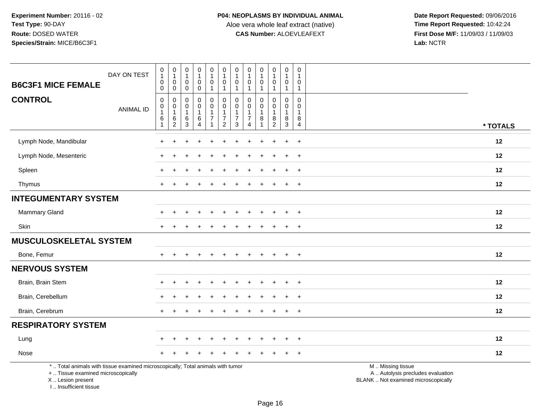**Date Report Requested:** 09/06/2016 **First Dose M/F:** 11/09/03 / 11/09/03<br>Lab: NCTR **Lab:** NCTR

|                                                                                                                                            | DAY ON TEST      | $\pmb{0}$<br>$\overline{1}$<br>$\boldsymbol{0}$        | $\pmb{0}$<br>$\mathbf{1}$<br>$\mathbf 0$        | $\pmb{0}$<br>$\mathbf{1}$<br>$\mathbf 0$ | $\pmb{0}$<br>$\mathbf{1}$<br>$\mathbf 0$ | $\mathsf 0$<br>$\mathbf{1}$<br>$\mathbf 0$                     | $\pmb{0}$<br>$\mathbf{1}$<br>$\pmb{0}$                       | 0<br>1<br>$\mathbf 0$                   | $\pmb{0}$<br>$\mathbf{1}$<br>$\mathbf 0$                       | $\pmb{0}$<br>$\mathbf{1}$<br>$\mathbf 0$ | $\pmb{0}$<br>$\mathbf{1}$<br>0        | $\pmb{0}$<br>$\mathbf{1}$<br>$\mathbf 0$          | 0<br>$\mathbf{1}$<br>$\mathbf 0$                |                                                                                               |
|--------------------------------------------------------------------------------------------------------------------------------------------|------------------|--------------------------------------------------------|-------------------------------------------------|------------------------------------------|------------------------------------------|----------------------------------------------------------------|--------------------------------------------------------------|-----------------------------------------|----------------------------------------------------------------|------------------------------------------|---------------------------------------|---------------------------------------------------|-------------------------------------------------|-----------------------------------------------------------------------------------------------|
| <b>B6C3F1 MICE FEMALE</b>                                                                                                                  |                  | $\boldsymbol{0}$                                       | $\mathbf 0$                                     | $\mathbf 0$                              | $\pmb{0}$                                | $\mathbf{1}$                                                   | $\mathbf{1}$                                                 | $\mathbf{1}$                            | $\mathbf{1}$                                                   | $\mathbf{1}$                             | $\mathbf{1}$                          | $\overline{1}$                                    | $\mathbf{1}$                                    |                                                                                               |
| <b>CONTROL</b>                                                                                                                             | <b>ANIMAL ID</b> | $\boldsymbol{0}$<br>$\pmb{0}$<br>$\mathbf{1}$<br>$\,6$ | $\mathbf 0$<br>$\mathbf 0$<br>$\mathbf{1}$<br>6 | $\mathbf 0$<br>0<br>$\mathbf{1}$<br>6    | $\mathbf 0$<br>$\pmb{0}$<br>$\,6$        | $\mathbf 0$<br>$\mathbf 0$<br>$\overline{1}$<br>$\overline{7}$ | $\pmb{0}$<br>$\mathbf 0$<br>$\mathbf{1}$<br>$\boldsymbol{7}$ | 0<br>$\mathbf 0$<br>1<br>$\overline{7}$ | $\mathbf 0$<br>$\mathbf 0$<br>$\mathbf{1}$<br>$\boldsymbol{7}$ | 0<br>$\mathbf 0$<br>$\mathbf{1}$<br>8    | 0<br>$\mathbf 0$<br>$\mathbf{1}$<br>8 | $\mathbf 0$<br>$\mathbf 0$<br>$\overline{1}$<br>8 | $\Omega$<br>$\mathbf{0}$<br>$\overline{1}$<br>8 |                                                                                               |
|                                                                                                                                            |                  | $\mathbf{1}$                                           | $\overline{c}$                                  | $\mathbf{3}$                             | $\boldsymbol{\Lambda}$                   | $\overline{1}$                                                 | $\overline{2}$                                               | 3                                       | $\overline{4}$                                                 |                                          | $\overline{c}$                        | $\mathbf{3}$                                      | $\overline{4}$                                  | * TOTALS                                                                                      |
| Lymph Node, Mandibular                                                                                                                     |                  | $\pm$                                                  | $\ddot{}$                                       |                                          |                                          |                                                                |                                                              |                                         |                                                                | $\div$                                   | $\ddot{}$                             | $+$                                               | $\ddot{}$                                       | 12                                                                                            |
| Lymph Node, Mesenteric                                                                                                                     |                  |                                                        |                                                 |                                          |                                          |                                                                |                                                              |                                         |                                                                |                                          |                                       | $\div$                                            | $\overline{+}$                                  | 12                                                                                            |
| Spleen                                                                                                                                     |                  |                                                        |                                                 |                                          |                                          |                                                                |                                                              |                                         |                                                                |                                          |                                       |                                                   | $\ddot{}$                                       | 12                                                                                            |
| Thymus                                                                                                                                     |                  | $+$                                                    |                                                 |                                          |                                          |                                                                |                                                              |                                         |                                                                |                                          | $\pm$                                 | $\pm$                                             | $+$                                             | 12                                                                                            |
| <b>INTEGUMENTARY SYSTEM</b>                                                                                                                |                  |                                                        |                                                 |                                          |                                          |                                                                |                                                              |                                         |                                                                |                                          |                                       |                                                   |                                                 |                                                                                               |
| Mammary Gland                                                                                                                              |                  |                                                        |                                                 |                                          |                                          |                                                                |                                                              |                                         |                                                                |                                          |                                       |                                                   | $\ddot{}$                                       | 12                                                                                            |
| Skin                                                                                                                                       |                  |                                                        |                                                 |                                          |                                          |                                                                |                                                              |                                         |                                                                |                                          |                                       | $\pm$                                             | $\overline{+}$                                  | 12                                                                                            |
| <b>MUSCULOSKELETAL SYSTEM</b>                                                                                                              |                  |                                                        |                                                 |                                          |                                          |                                                                |                                                              |                                         |                                                                |                                          |                                       |                                                   |                                                 |                                                                                               |
| Bone, Femur                                                                                                                                |                  |                                                        |                                                 |                                          | $\div$                                   | $+$                                                            | $+$                                                          | $\pm$                                   |                                                                | $+$                                      | $+$                                   | $+$                                               | $+$                                             | 12                                                                                            |
| <b>NERVOUS SYSTEM</b>                                                                                                                      |                  |                                                        |                                                 |                                          |                                          |                                                                |                                                              |                                         |                                                                |                                          |                                       |                                                   |                                                 |                                                                                               |
| Brain, Brain Stem                                                                                                                          |                  |                                                        |                                                 |                                          |                                          |                                                                |                                                              |                                         |                                                                |                                          |                                       |                                                   | $\ddot{}$                                       | 12                                                                                            |
| Brain, Cerebellum                                                                                                                          |                  |                                                        |                                                 |                                          |                                          |                                                                |                                                              |                                         |                                                                |                                          |                                       | $\div$                                            | $\overline{+}$                                  | 12                                                                                            |
| Brain, Cerebrum                                                                                                                            |                  |                                                        |                                                 |                                          |                                          |                                                                |                                                              |                                         |                                                                |                                          |                                       |                                                   | $+$                                             | 12                                                                                            |
| <b>RESPIRATORY SYSTEM</b>                                                                                                                  |                  |                                                        |                                                 |                                          |                                          |                                                                |                                                              |                                         |                                                                |                                          |                                       |                                                   |                                                 |                                                                                               |
| Lung                                                                                                                                       |                  |                                                        |                                                 |                                          | $\div$                                   | ÷.                                                             |                                                              |                                         |                                                                | $\div$                                   | $\ddot{}$                             | $\ddot{}$                                         | $\overline{+}$                                  | 12                                                                                            |
| Nose                                                                                                                                       |                  |                                                        |                                                 |                                          |                                          |                                                                |                                                              |                                         |                                                                |                                          |                                       |                                                   | $\overline{+}$                                  | 12                                                                                            |
| *  Total animals with tissue examined microscopically; Total animals with tumor<br>+  Tissue examined microscopically<br>X  Lesion present |                  |                                                        |                                                 |                                          |                                          |                                                                |                                                              |                                         |                                                                |                                          |                                       |                                                   |                                                 | M  Missing tissue<br>A  Autolysis precludes evaluation<br>BLANK  Not examined microscopically |

I .. Insufficient tissue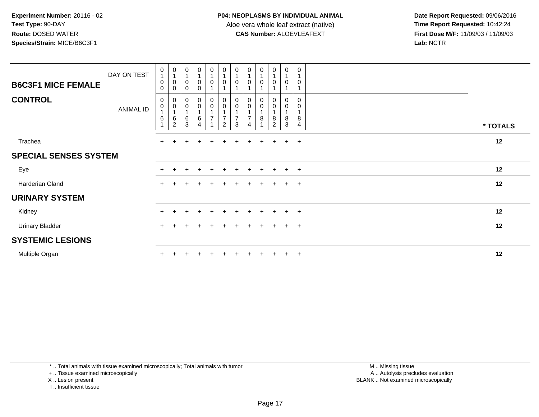**Date Report Requested:** 09/06/2016 **First Dose M/F:** 11/09/03 / 11/09/03<br>Lab: NCTR **Lab:** NCTR

| <b>B6C3F1 MICE FEMALE</b>    | DAY ON TEST      | $\boldsymbol{0}$<br>$\overline{A}$<br>$\pmb{0}$<br>$\mathbf 0$ | $\begin{smallmatrix}0\\1\end{smallmatrix}$<br>0<br>0    | $\begin{smallmatrix}0\\1\end{smallmatrix}$<br>$\pmb{0}$<br>$\Omega$ | $\frac{0}{1}$<br>$\mathbf 0$<br>$\Omega$ | $\begin{smallmatrix}0\\1\end{smallmatrix}$<br>$\pmb{0}$ | $\pmb{0}$<br>$\overline{1}$<br>$\mathbf 0$                                       | $\begin{smallmatrix}0\\1\end{smallmatrix}$<br>0 | $\pmb{0}$<br>$\mathbf{1}$<br>0                     | $\frac{0}{1}$<br>0 | $\begin{smallmatrix}0\\1\end{smallmatrix}$<br>$\pmb{0}$          | $\pmb{0}$<br>$\mathbf 0$                                                 | 0<br>$\mathbf{1}$<br>0 |          |
|------------------------------|------------------|----------------------------------------------------------------|---------------------------------------------------------|---------------------------------------------------------------------|------------------------------------------|---------------------------------------------------------|----------------------------------------------------------------------------------|-------------------------------------------------|----------------------------------------------------|--------------------|------------------------------------------------------------------|--------------------------------------------------------------------------|------------------------|----------|
| <b>CONTROL</b>               | <b>ANIMAL ID</b> | $\mathbf 0$<br>$\pmb{0}$<br>$\,6$                              | $_{0}^{0}$<br>$\overline{1}$<br>$\,6$<br>$\overline{2}$ | $\boldsymbol{0}$<br>$\pmb{0}$<br>$\overline{1}$<br>6<br>3           | $_0^0$<br>6<br>$\overline{4}$            | $_{\rm 0}^{\rm 0}$<br>$\overline{7}$<br>$\overline{A}$  | $\begin{smallmatrix} 0\\0 \end{smallmatrix}$<br>$\overline{7}$<br>$\overline{2}$ | $^0_0$<br>$\overline{7}$<br>3                   | 0<br>$\pmb{0}$<br>$\overline{7}$<br>$\overline{A}$ | 0<br>0<br>8        | $_{\rm 0}^{\rm 0}$<br>$\overline{A}$<br>$\bf8$<br>$\overline{2}$ | $\begin{smallmatrix} 0\\0 \end{smallmatrix}$<br>$\overline{A}$<br>8<br>3 | 0<br>0<br>1<br>8<br>4  | * TOTALS |
| Trachea                      |                  | $+$                                                            |                                                         |                                                                     |                                          | $\pm$                                                   | $\div$                                                                           | ÷                                               |                                                    | $\div$             | $+$                                                              | $+$                                                                      | $+$                    | 12       |
| <b>SPECIAL SENSES SYSTEM</b> |                  |                                                                |                                                         |                                                                     |                                          |                                                         |                                                                                  |                                                 |                                                    |                    |                                                                  |                                                                          |                        |          |
| Eye                          |                  | $\div$                                                         |                                                         |                                                                     | $\div$                                   | $\pm$                                                   | $+$                                                                              | $\pm$                                           | $+$                                                | $+$                | $+$                                                              | $+$                                                                      | $+$                    | 12       |
| Harderian Gland              |                  | $+$                                                            |                                                         |                                                                     |                                          | +                                                       |                                                                                  |                                                 |                                                    | ÷                  | $+$                                                              | $+$                                                                      | $+$                    | 12       |
| <b>URINARY SYSTEM</b>        |                  |                                                                |                                                         |                                                                     |                                          |                                                         |                                                                                  |                                                 |                                                    |                    |                                                                  |                                                                          |                        |          |
| Kidney                       |                  | $+$                                                            |                                                         | $\div$                                                              | $\ddot{}$                                | $+$                                                     | $\pm$                                                                            | $\overline{+}$                                  | $\pm$                                              | $\ddot{}$          | $+$                                                              | $+$                                                                      | $^{+}$                 | 12       |
| <b>Urinary Bladder</b>       |                  | $+$                                                            |                                                         |                                                                     |                                          | +                                                       |                                                                                  |                                                 | $\pm$                                              | $\ddot{}$          | $+$                                                              | $+$                                                                      | $+$                    | 12       |
| <b>SYSTEMIC LESIONS</b>      |                  |                                                                |                                                         |                                                                     |                                          |                                                         |                                                                                  |                                                 |                                                    |                    |                                                                  |                                                                          |                        |          |
| Multiple Organ               |                  |                                                                |                                                         |                                                                     |                                          |                                                         |                                                                                  |                                                 |                                                    | $\pm$              | $+$                                                              | $+$                                                                      | $+$                    | 12       |

\* .. Total animals with tissue examined microscopically; Total animals with tumor

+ .. Tissue examined microscopically

X .. Lesion present

I .. Insufficient tissue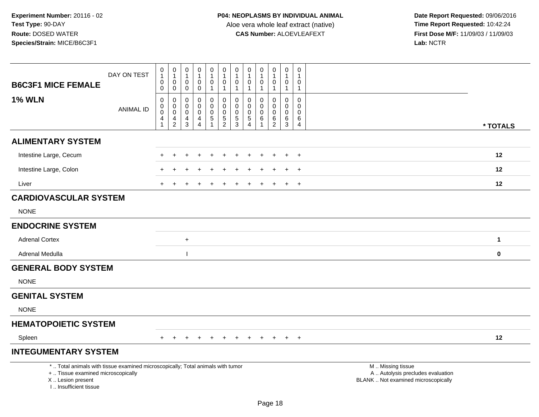| <b>B6C3F1 MICE FEMALE</b>                                                                                                                                           | DAY ON TEST      | 0<br>$\mathbf{1}$<br>0<br>$\pmb{0}$                            | $\pmb{0}$<br>$\overline{1}$<br>0<br>$\mathbf 0$            | 0<br>-1<br>0<br>0                                      | $\mathbf 0$<br>$\mathbf{1}$<br>$\pmb{0}$<br>$\pmb{0}$      | 0<br>$\mathbf{1}$<br>0<br>$\mathbf{1}$               | $\pmb{0}$<br>$\mathbf{1}$<br>$\pmb{0}$<br>$\mathbf{1}$ | $\pmb{0}$<br>$\mathbf{1}$<br>$\pmb{0}$<br>$\overline{1}$   | $\boldsymbol{0}$<br>-1<br>0<br>$\mathbf{1}$            | $\mathbf 0$<br>$\mathbf{1}$<br>$\mathbf 0$<br>$\mathbf{1}$    | 0<br>$\mathbf{1}$<br>$\mathbf 0$<br>$\mathbf{1}$ | $\boldsymbol{0}$<br>$\mathbf{1}$<br>$\boldsymbol{0}$<br>$\mathbf{1}$ | 0<br>1<br>0<br>$\mathbf{1}$            |                                                                                               |              |
|---------------------------------------------------------------------------------------------------------------------------------------------------------------------|------------------|----------------------------------------------------------------|------------------------------------------------------------|--------------------------------------------------------|------------------------------------------------------------|------------------------------------------------------|--------------------------------------------------------|------------------------------------------------------------|--------------------------------------------------------|---------------------------------------------------------------|--------------------------------------------------|----------------------------------------------------------------------|----------------------------------------|-----------------------------------------------------------------------------------------------|--------------|
| <b>1% WLN</b>                                                                                                                                                       | <b>ANIMAL ID</b> | $\pmb{0}$<br>$\boldsymbol{0}$<br>$\ddot{\mathbf{0}}$<br>4<br>1 | $\mathsf 0$<br>$\mathbf 0$<br>$\mathbf 0$<br>$\frac{4}{2}$ | 0<br>$\mathbf 0$<br>$\mathbf 0$<br>4<br>$\overline{3}$ | $\mathbf 0$<br>$\mathbf 0$<br>$\mathbf 0$<br>$\frac{4}{4}$ | 0<br>$\mathbf 0$<br>$\mathbf 0$<br>5<br>$\mathbf{1}$ | $\mathbf 0$<br>$\mathbf 0$<br>0<br>$\frac{5}{2}$       | $\mathbf 0$<br>$\mathbf 0$<br>$\mathbf 0$<br>$\frac{5}{3}$ | 0<br>$\mathbf 0$<br>0<br>$\,$ 5 $\,$<br>$\overline{4}$ | $\mathbf 0$<br>$\Omega$<br>$\mathbf 0$<br>6<br>$\overline{1}$ | 0<br>$\mathbf 0$<br>$\pmb{0}$<br>$^6_2$          | $\mathbf 0$<br>$\mathbf 0$<br>$\mathbf 0$<br>$\,6$<br>$\overline{3}$ | $\mathbf 0$<br>$\Omega$<br>0<br>6<br>4 |                                                                                               | * TOTALS     |
| <b>ALIMENTARY SYSTEM</b>                                                                                                                                            |                  |                                                                |                                                            |                                                        |                                                            |                                                      |                                                        |                                                            |                                                        |                                                               |                                                  |                                                                      |                                        |                                                                                               |              |
| Intestine Large, Cecum                                                                                                                                              |                  |                                                                |                                                            |                                                        |                                                            |                                                      |                                                        |                                                            |                                                        |                                                               |                                                  |                                                                      | $\div$                                 |                                                                                               | 12           |
| Intestine Large, Colon                                                                                                                                              |                  |                                                                |                                                            |                                                        |                                                            |                                                      |                                                        |                                                            |                                                        |                                                               |                                                  |                                                                      | $\pm$                                  |                                                                                               | 12           |
| Liver                                                                                                                                                               |                  | $+$                                                            |                                                            |                                                        |                                                            |                                                      |                                                        |                                                            |                                                        |                                                               | $\ddot{}$                                        | $\ddot{}$                                                            | $+$                                    |                                                                                               | 12           |
| <b>CARDIOVASCULAR SYSTEM</b>                                                                                                                                        |                  |                                                                |                                                            |                                                        |                                                            |                                                      |                                                        |                                                            |                                                        |                                                               |                                                  |                                                                      |                                        |                                                                                               |              |
| <b>NONE</b>                                                                                                                                                         |                  |                                                                |                                                            |                                                        |                                                            |                                                      |                                                        |                                                            |                                                        |                                                               |                                                  |                                                                      |                                        |                                                                                               |              |
| <b>ENDOCRINE SYSTEM</b>                                                                                                                                             |                  |                                                                |                                                            |                                                        |                                                            |                                                      |                                                        |                                                            |                                                        |                                                               |                                                  |                                                                      |                                        |                                                                                               |              |
| <b>Adrenal Cortex</b>                                                                                                                                               |                  |                                                                |                                                            | $\ddot{}$                                              |                                                            |                                                      |                                                        |                                                            |                                                        |                                                               |                                                  |                                                                      |                                        |                                                                                               | $\mathbf{1}$ |
| Adrenal Medulla                                                                                                                                                     |                  |                                                                |                                                            |                                                        |                                                            |                                                      |                                                        |                                                            |                                                        |                                                               |                                                  |                                                                      |                                        |                                                                                               | $\bf{0}$     |
| <b>GENERAL BODY SYSTEM</b>                                                                                                                                          |                  |                                                                |                                                            |                                                        |                                                            |                                                      |                                                        |                                                            |                                                        |                                                               |                                                  |                                                                      |                                        |                                                                                               |              |
| <b>NONE</b>                                                                                                                                                         |                  |                                                                |                                                            |                                                        |                                                            |                                                      |                                                        |                                                            |                                                        |                                                               |                                                  |                                                                      |                                        |                                                                                               |              |
| <b>GENITAL SYSTEM</b>                                                                                                                                               |                  |                                                                |                                                            |                                                        |                                                            |                                                      |                                                        |                                                            |                                                        |                                                               |                                                  |                                                                      |                                        |                                                                                               |              |
| <b>NONE</b>                                                                                                                                                         |                  |                                                                |                                                            |                                                        |                                                            |                                                      |                                                        |                                                            |                                                        |                                                               |                                                  |                                                                      |                                        |                                                                                               |              |
| <b>HEMATOPOIETIC SYSTEM</b>                                                                                                                                         |                  |                                                                |                                                            |                                                        |                                                            |                                                      |                                                        |                                                            |                                                        |                                                               |                                                  |                                                                      |                                        |                                                                                               |              |
| Spleen                                                                                                                                                              |                  |                                                                |                                                            |                                                        |                                                            | $\overline{+}$                                       | $\overline{+}$                                         | $+$                                                        | $+$                                                    | $+$                                                           | $+$                                              | $+$                                                                  | $+$                                    |                                                                                               | 12           |
| <b>INTEGUMENTARY SYSTEM</b>                                                                                                                                         |                  |                                                                |                                                            |                                                        |                                                            |                                                      |                                                        |                                                            |                                                        |                                                               |                                                  |                                                                      |                                        |                                                                                               |              |
| *  Total animals with tissue examined microscopically; Total animals with tumor<br>+  Tissue examined microscopically<br>X  Lesion present<br>I Insufficient tissue |                  |                                                                |                                                            |                                                        |                                                            |                                                      |                                                        |                                                            |                                                        |                                                               |                                                  |                                                                      |                                        | M  Missing tissue<br>A  Autolysis precludes evaluation<br>BLANK  Not examined microscopically |              |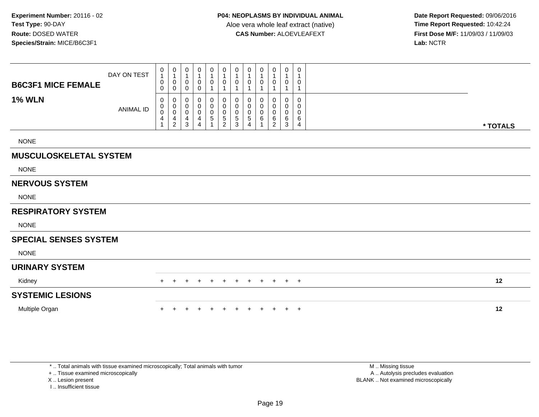**Date Report Requested:** 09/06/2016 **First Dose M/F:** 11/09/03 / 11/09/03<br>Lab: NCTR **Lab:** NCTR

| <b>B6C3F1 MICE FEMALE</b>     | DAY ON TEST      | 0<br>$\mathbf{1}$<br>0<br>$\mathbf 0$ | $\pmb{0}$<br>$\mathbf{1}$<br>0<br>0                             | 0<br>$\mathbf{1}$<br>$\mathbf 0$<br>0 | 0<br>$\mathbf{1}$<br>0<br>$\mathbf 0$      | 0<br>0                                    | $\pmb{0}$<br>$\mathbf{1}$<br>$\pmb{0}$<br>1                                | 0<br>$\mathbf{1}$<br>0<br>$\mathbf{1}$         | 0<br>1<br>0           | 0<br>$\mathbf{1}$<br>0 | 0<br>0                             | 0<br>$\mathbf{1}$<br>0<br>$\mathbf{1}$              | 0<br>$\overline{1}$<br>0<br>$\overline{1}$ |          |
|-------------------------------|------------------|---------------------------------------|-----------------------------------------------------------------|---------------------------------------|--------------------------------------------|-------------------------------------------|----------------------------------------------------------------------------|------------------------------------------------|-----------------------|------------------------|------------------------------------|-----------------------------------------------------|--------------------------------------------|----------|
| <b>1% WLN</b>                 | <b>ANIMAL ID</b> | 0<br>0<br>$\mathbf 0$<br>4            | 0<br>$\pmb{0}$<br>$\pmb{0}$<br>$\overline{4}$<br>$\overline{c}$ | 0<br>0<br>$\mathbf 0$<br>4<br>3       | 0<br>0<br>$\pmb{0}$<br>4<br>$\overline{4}$ | 0<br>$\pmb{0}$<br>$\pmb{0}$<br>$\sqrt{5}$ | $\begin{smallmatrix} 0\\0 \end{smallmatrix}$<br>$\pmb{0}$<br>$\frac{5}{2}$ | 0<br>$\mathbf 0$<br>$\pmb{0}$<br>$\frac{5}{3}$ | 0<br>0<br>0<br>5<br>4 | 0<br>0<br>0<br>6       | 0<br>0<br>0<br>6<br>$\overline{2}$ | 0<br>$\mathbf 0$<br>$\mathsf{O}$<br>6<br>$\sqrt{3}$ | 0<br>0<br>$\pmb{0}$<br>6<br>4              | * TOTALS |
| <b>NONE</b>                   |                  |                                       |                                                                 |                                       |                                            |                                           |                                                                            |                                                |                       |                        |                                    |                                                     |                                            |          |
| <b>MUSCULOSKELETAL SYSTEM</b> |                  |                                       |                                                                 |                                       |                                            |                                           |                                                                            |                                                |                       |                        |                                    |                                                     |                                            |          |
| <b>NONE</b>                   |                  |                                       |                                                                 |                                       |                                            |                                           |                                                                            |                                                |                       |                        |                                    |                                                     |                                            |          |
| <b>NERVOUS SYSTEM</b>         |                  |                                       |                                                                 |                                       |                                            |                                           |                                                                            |                                                |                       |                        |                                    |                                                     |                                            |          |
| <b>NONE</b>                   |                  |                                       |                                                                 |                                       |                                            |                                           |                                                                            |                                                |                       |                        |                                    |                                                     |                                            |          |
| <b>RESPIRATORY SYSTEM</b>     |                  |                                       |                                                                 |                                       |                                            |                                           |                                                                            |                                                |                       |                        |                                    |                                                     |                                            |          |
| <b>NONE</b>                   |                  |                                       |                                                                 |                                       |                                            |                                           |                                                                            |                                                |                       |                        |                                    |                                                     |                                            |          |
| <b>SPECIAL SENSES SYSTEM</b>  |                  |                                       |                                                                 |                                       |                                            |                                           |                                                                            |                                                |                       |                        |                                    |                                                     |                                            |          |
| <b>NONE</b>                   |                  |                                       |                                                                 |                                       |                                            |                                           |                                                                            |                                                |                       |                        |                                    |                                                     |                                            |          |
| <b>URINARY SYSTEM</b>         |                  |                                       |                                                                 |                                       |                                            |                                           |                                                                            |                                                |                       |                        |                                    |                                                     |                                            |          |
| Kidney                        |                  | $+$                                   |                                                                 |                                       |                                            |                                           |                                                                            | $+$                                            | $+$                   | $+$                    | $+$                                | $+$                                                 | $+$                                        | 12       |
| <b>SYSTEMIC LESIONS</b>       |                  |                                       |                                                                 |                                       |                                            |                                           |                                                                            |                                                |                       |                        |                                    |                                                     |                                            |          |
| Multiple Organ                |                  |                                       |                                                                 |                                       |                                            |                                           |                                                                            |                                                |                       |                        | $\pm$                              | $+$                                                 | $+$                                        | 12       |

\* .. Total animals with tissue examined microscopically; Total animals with tumor

+ .. Tissue examined microscopically

X .. Lesion present

I .. Insufficient tissue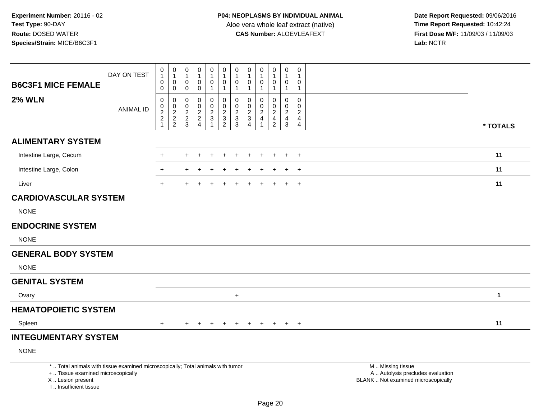I .. Insufficient tissue

| <b>B6C3F1 MICE FEMALE</b>                                                                                                                  | DAY ON TEST      | 0<br>$\mathbf{1}$<br>0<br>0                            | 0<br>$\mathbf{1}$<br>$\mathbf 0$<br>$\mathbf 0$ | 0<br>$\mathbf{1}$<br>0<br>$\mathbf 0$                     | 0<br>0<br>0                                                                     | 0<br>$\mathbf{1}$<br>0<br>$\mathbf 1$                                      | 0<br>$\mathbf{1}$<br>0<br>-1                        | 0<br>$\mathbf{1}$<br>$\mathbf 0$<br>$\mathbf{1}$          | 0<br>0<br>1                                                       | 0<br>$\mathbf{1}$<br>0<br>$\mathbf{1}$                | 0<br>$\mathbf{1}$<br>0<br>1                                                  | 0<br>$\mathbf{1}$<br>0<br>$\mathbf{1}$                                 | $\mathbf 0$<br>1<br>0<br>$\overline{1}$             |                                                                                               |
|--------------------------------------------------------------------------------------------------------------------------------------------|------------------|--------------------------------------------------------|-------------------------------------------------|-----------------------------------------------------------|---------------------------------------------------------------------------------|----------------------------------------------------------------------------|-----------------------------------------------------|-----------------------------------------------------------|-------------------------------------------------------------------|-------------------------------------------------------|------------------------------------------------------------------------------|------------------------------------------------------------------------|-----------------------------------------------------|-----------------------------------------------------------------------------------------------|
| <b>2% WLN</b>                                                                                                                              | <b>ANIMAL ID</b> | 0<br>0<br>$\sqrt{2}$<br>$\overline{2}$<br>$\mathbf{1}$ | 0<br>0<br>$\frac{2}{2}$                         | $\mathbf 0$<br>$\mathbf 0$<br>$\sqrt{2}$<br>$\frac{2}{3}$ | $\mathbf 0$<br>0<br>$\overline{2}$<br>$\overline{\mathbf{c}}$<br>$\overline{4}$ | $\mathbf 0$<br>$\mathsf 0$<br>$\overline{2}$<br>$\sqrt{3}$<br>$\mathbf{1}$ | 0<br>$\mathbf 0$<br>$\overline{2}$<br>$\frac{3}{2}$ | $\mathbf 0$<br>$\mathbf 0$<br>$\sqrt{2}$<br>$\frac{3}{3}$ | $\Omega$<br>0<br>$\overline{2}$<br>$\mathbf{3}$<br>$\overline{4}$ | $\mathbf 0$<br>0<br>$\sqrt{2}$<br>$\overline{4}$<br>1 | $\Omega$<br>0<br>$\overline{2}$<br>$\overline{\mathbf{4}}$<br>$\overline{2}$ | 0<br>$\mathbf 0$<br>$\overline{2}$<br>$\overline{4}$<br>$\overline{3}$ | $\mathbf 0$<br>$\Omega$<br>2<br>$\overline{4}$<br>4 | * TOTALS                                                                                      |
| <b>ALIMENTARY SYSTEM</b>                                                                                                                   |                  |                                                        |                                                 |                                                           |                                                                                 |                                                                            |                                                     |                                                           |                                                                   |                                                       |                                                                              |                                                                        |                                                     |                                                                                               |
| Intestine Large, Cecum                                                                                                                     |                  | +                                                      |                                                 |                                                           |                                                                                 |                                                                            |                                                     |                                                           |                                                                   |                                                       |                                                                              |                                                                        | $\div$                                              | 11                                                                                            |
| Intestine Large, Colon                                                                                                                     |                  | $\ddot{}$                                              |                                                 |                                                           |                                                                                 |                                                                            |                                                     |                                                           |                                                                   |                                                       |                                                                              |                                                                        | $\pm$                                               | 11                                                                                            |
| Liver                                                                                                                                      |                  | $+$                                                    |                                                 |                                                           |                                                                                 |                                                                            |                                                     |                                                           |                                                                   |                                                       |                                                                              | $\ddot{}$                                                              | $+$                                                 | 11                                                                                            |
| <b>CARDIOVASCULAR SYSTEM</b>                                                                                                               |                  |                                                        |                                                 |                                                           |                                                                                 |                                                                            |                                                     |                                                           |                                                                   |                                                       |                                                                              |                                                                        |                                                     |                                                                                               |
| <b>NONE</b>                                                                                                                                |                  |                                                        |                                                 |                                                           |                                                                                 |                                                                            |                                                     |                                                           |                                                                   |                                                       |                                                                              |                                                                        |                                                     |                                                                                               |
| <b>ENDOCRINE SYSTEM</b>                                                                                                                    |                  |                                                        |                                                 |                                                           |                                                                                 |                                                                            |                                                     |                                                           |                                                                   |                                                       |                                                                              |                                                                        |                                                     |                                                                                               |
| <b>NONE</b>                                                                                                                                |                  |                                                        |                                                 |                                                           |                                                                                 |                                                                            |                                                     |                                                           |                                                                   |                                                       |                                                                              |                                                                        |                                                     |                                                                                               |
| <b>GENERAL BODY SYSTEM</b>                                                                                                                 |                  |                                                        |                                                 |                                                           |                                                                                 |                                                                            |                                                     |                                                           |                                                                   |                                                       |                                                                              |                                                                        |                                                     |                                                                                               |
| <b>NONE</b>                                                                                                                                |                  |                                                        |                                                 |                                                           |                                                                                 |                                                                            |                                                     |                                                           |                                                                   |                                                       |                                                                              |                                                                        |                                                     |                                                                                               |
| <b>GENITAL SYSTEM</b>                                                                                                                      |                  |                                                        |                                                 |                                                           |                                                                                 |                                                                            |                                                     |                                                           |                                                                   |                                                       |                                                                              |                                                                        |                                                     |                                                                                               |
| Ovary                                                                                                                                      |                  |                                                        |                                                 |                                                           |                                                                                 |                                                                            |                                                     | $\ddot{}$                                                 |                                                                   |                                                       |                                                                              |                                                                        |                                                     | $\mathbf 1$                                                                                   |
| <b>HEMATOPOIETIC SYSTEM</b>                                                                                                                |                  |                                                        |                                                 |                                                           |                                                                                 |                                                                            |                                                     |                                                           |                                                                   |                                                       |                                                                              |                                                                        |                                                     |                                                                                               |
| Spleen                                                                                                                                     |                  | $+$                                                    |                                                 |                                                           |                                                                                 |                                                                            |                                                     |                                                           |                                                                   |                                                       |                                                                              | $+$                                                                    | $+$                                                 | 11                                                                                            |
| <b>INTEGUMENTARY SYSTEM</b>                                                                                                                |                  |                                                        |                                                 |                                                           |                                                                                 |                                                                            |                                                     |                                                           |                                                                   |                                                       |                                                                              |                                                                        |                                                     |                                                                                               |
| <b>NONE</b>                                                                                                                                |                  |                                                        |                                                 |                                                           |                                                                                 |                                                                            |                                                     |                                                           |                                                                   |                                                       |                                                                              |                                                                        |                                                     |                                                                                               |
| *  Total animals with tissue examined microscopically; Total animals with tumor<br>+  Tissue examined microscopically<br>X  Lesion present |                  |                                                        |                                                 |                                                           |                                                                                 |                                                                            |                                                     |                                                           |                                                                   |                                                       |                                                                              |                                                                        |                                                     | M  Missing tissue<br>A  Autolysis precludes evaluation<br>BLANK  Not examined microscopically |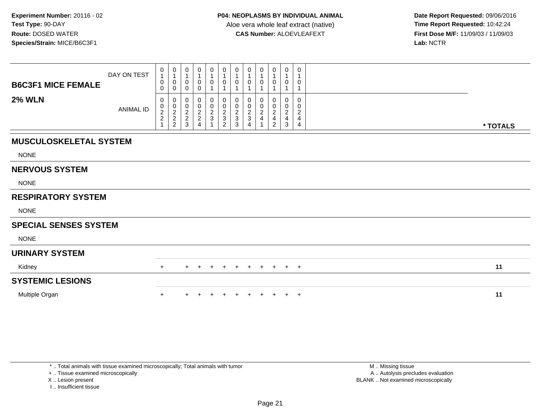**Date Report Requested:** 09/06/2016 **First Dose M/F:** 11/09/03 / 11/09/03<br>Lab: NCTR **Lab:** NCTR

| <b>B6C3F1 MICE FEMALE</b>     | DAY ON TEST      | 0<br>$\mathbf{1}$<br>0<br>0                     | $\mathbf 0$<br>$\mathbf{1}$<br>$\pmb{0}$<br>$\pmb{0}$ | 0<br>$\mathbf{1}$<br>0<br>0   | $\mathbf 0$<br>$\overline{1}$<br>0<br>0                                | $\begin{smallmatrix}0\\1\end{smallmatrix}$<br>0<br>1                                             | $\mathbf 0$<br>0                          | $\begin{smallmatrix}0\\1\end{smallmatrix}$<br>$\mathbf 0$<br>1 | 0<br>$\mathbf{1}$<br>0                                                 | 0<br>0                    | 0<br>0                                                           | 0<br>$\overline{1}$<br>0                             | 0<br>1<br>0<br>$\mathbf{1}$                                  |          |  |
|-------------------------------|------------------|-------------------------------------------------|-------------------------------------------------------|-------------------------------|------------------------------------------------------------------------|--------------------------------------------------------------------------------------------------|-------------------------------------------|----------------------------------------------------------------|------------------------------------------------------------------------|---------------------------|------------------------------------------------------------------|------------------------------------------------------|--------------------------------------------------------------|----------|--|
| <b>2% WLN</b>                 | <b>ANIMAL ID</b> | 0<br>$\begin{array}{c} 0 \\ 2 \\ 2 \end{array}$ | 0<br>$\frac{0}{2}$<br>2<br>2                          | 0<br>$0$<br>$2$<br>$2$<br>$3$ | 0<br>$\begin{smallmatrix} 0\\2\\2 \end{smallmatrix}$<br>$\overline{4}$ | 0<br>$\begin{smallmatrix} 0\\2 \end{smallmatrix}$<br>$\ensuremath{\mathsf{3}}$<br>$\overline{ }$ | 0<br>$\frac{0}{2}$<br>3<br>$\overline{2}$ | $\pmb{0}$<br>$\frac{0}{2}$<br>3                                | 0<br>$\begin{smallmatrix} 0\\2\\3 \end{smallmatrix}$<br>$\overline{4}$ | 0<br>0<br>$\sqrt{2}$<br>4 | 0<br>$\pmb{0}$<br>$\overline{2}$<br>$\overline{\mathbf{4}}$<br>2 | 0<br>$\begin{array}{c} 0 \\ 2 \\ 4 \end{array}$<br>3 | 0<br>0<br>$\overline{c}$<br>$\overline{4}$<br>$\overline{4}$ | * TOTALS |  |
| <b>MUSCULOSKELETAL SYSTEM</b> |                  |                                                 |                                                       |                               |                                                                        |                                                                                                  |                                           |                                                                |                                                                        |                           |                                                                  |                                                      |                                                              |          |  |
| <b>NONE</b>                   |                  |                                                 |                                                       |                               |                                                                        |                                                                                                  |                                           |                                                                |                                                                        |                           |                                                                  |                                                      |                                                              |          |  |
| <b>NERVOUS SYSTEM</b>         |                  |                                                 |                                                       |                               |                                                                        |                                                                                                  |                                           |                                                                |                                                                        |                           |                                                                  |                                                      |                                                              |          |  |
| <b>NONE</b>                   |                  |                                                 |                                                       |                               |                                                                        |                                                                                                  |                                           |                                                                |                                                                        |                           |                                                                  |                                                      |                                                              |          |  |
| <b>RESPIRATORY SYSTEM</b>     |                  |                                                 |                                                       |                               |                                                                        |                                                                                                  |                                           |                                                                |                                                                        |                           |                                                                  |                                                      |                                                              |          |  |
| <b>NONE</b>                   |                  |                                                 |                                                       |                               |                                                                        |                                                                                                  |                                           |                                                                |                                                                        |                           |                                                                  |                                                      |                                                              |          |  |
| <b>SPECIAL SENSES SYSTEM</b>  |                  |                                                 |                                                       |                               |                                                                        |                                                                                                  |                                           |                                                                |                                                                        |                           |                                                                  |                                                      |                                                              |          |  |
| <b>NONE</b>                   |                  |                                                 |                                                       |                               |                                                                        |                                                                                                  |                                           |                                                                |                                                                        |                           |                                                                  |                                                      |                                                              |          |  |
| <b>URINARY SYSTEM</b>         |                  |                                                 |                                                       |                               |                                                                        |                                                                                                  |                                           |                                                                |                                                                        |                           |                                                                  |                                                      |                                                              |          |  |
| Kidney                        |                  | $+$                                             |                                                       | $+$                           | $+$                                                                    | $\overline{+}$                                                                                   | $+$                                       | $+$                                                            | $+$                                                                    | $+$                       | $+$                                                              | $+$ $+$                                              |                                                              | 11       |  |
| <b>SYSTEMIC LESIONS</b>       |                  |                                                 |                                                       |                               |                                                                        |                                                                                                  |                                           |                                                                |                                                                        |                           |                                                                  |                                                      |                                                              |          |  |
| Multiple Organ                |                  | $\ddot{}$                                       |                                                       |                               |                                                                        |                                                                                                  |                                           |                                                                |                                                                        |                           |                                                                  | $+$                                                  | $+$                                                          | 11       |  |

+ .. Tissue examined microscopically

X .. Lesion present

I .. Insufficient tissue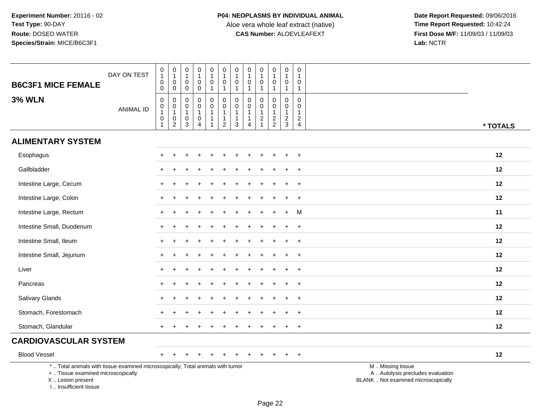| <b>B6C3F1 MICE FEMALE</b>                                                                                                                                           | DAY ON TEST      | $\begin{smallmatrix}0\\1\end{smallmatrix}$<br>$\pmb{0}$<br>$\pmb{0}$ | $\pmb{0}$<br>$\overline{1}$<br>$\mathbf 0$<br>$\mathsf{O}$                  | 0<br>$\mathbf{1}$<br>0<br>$\mathbf 0$ | $\boldsymbol{0}$<br>$\mathbf{1}$<br>$\mathbf 0$<br>$\mathsf{O}\xspace$           | $\pmb{0}$<br>$\mathbf{1}$<br>0<br>$\mathbf{1}$                             | 0<br>$\mathbf{1}$<br>0<br>$\mathbf{1}$                            | $\pmb{0}$<br>$\mathbf{1}$<br>$\mathbf 0$<br>$\mathbf{1}$                 | 0<br>$\overline{1}$<br>0<br>$\mathbf{1}$ | 0<br>$\overline{1}$<br>$\mathbf 0$<br>$\mathbf{1}$                        | 0<br>$\mathbf{1}$<br>$\mathbf 0$<br>$\mathbf{1}$ | $\mathbf 0$<br>$\mathbf{1}$<br>$\pmb{0}$<br>$\mathbf{1}$                           | $\pmb{0}$<br>$\mathbf{1}$<br>0<br>$\mathbf{1}$                                 |                                                                                               |
|---------------------------------------------------------------------------------------------------------------------------------------------------------------------|------------------|----------------------------------------------------------------------|-----------------------------------------------------------------------------|---------------------------------------|----------------------------------------------------------------------------------|----------------------------------------------------------------------------|-------------------------------------------------------------------|--------------------------------------------------------------------------|------------------------------------------|---------------------------------------------------------------------------|--------------------------------------------------|------------------------------------------------------------------------------------|--------------------------------------------------------------------------------|-----------------------------------------------------------------------------------------------|
| <b>3% WLN</b>                                                                                                                                                       | <b>ANIMAL ID</b> | $\pmb{0}$<br>$\boldsymbol{0}$<br>$\mathbf{1}$<br>0<br>$\overline{1}$ | $\pmb{0}$<br>$\mathbf 0$<br>$\overline{1}$<br>$\mathbf 0$<br>$\overline{2}$ | 0<br>0<br>1<br>0<br>3                 | $\mathbf 0$<br>$\mathsf 0$<br>$\mathbf{1}$<br>$\boldsymbol{0}$<br>$\overline{4}$ | $\mathbf 0$<br>$\mathsf{O}$<br>$\mathbf{1}$<br>$\mathbf{1}$<br>$\mathbf 1$ | $\mathbf 0$<br>$\mathbf 0$<br>1<br>$\mathbf{1}$<br>$\overline{2}$ | $\mathbf 0$<br>$\pmb{0}$<br>$\mathbf{1}$<br>$\mathbf{1}$<br>$\mathbf{3}$ | $\Omega$<br>0<br>-1<br>-1<br>4           | $\Omega$<br>$\mathbf 0$<br>$\mathbf{1}$<br>$\overline{c}$<br>$\mathbf{1}$ | 0<br>0<br>$\mathbf{1}$<br>$\frac{2}{2}$          | $\pmb{0}$<br>$\mathsf{O}\xspace$<br>$\mathbf{1}$<br>$\overline{c}$<br>$\mathbf{3}$ | $\mathbf 0$<br>$\mathbf 0$<br>$\mathbf{1}$<br>$\overline{2}$<br>$\overline{4}$ | * TOTALS                                                                                      |
| <b>ALIMENTARY SYSTEM</b>                                                                                                                                            |                  |                                                                      |                                                                             |                                       |                                                                                  |                                                                            |                                                                   |                                                                          |                                          |                                                                           |                                                  |                                                                                    |                                                                                |                                                                                               |
| Esophagus                                                                                                                                                           |                  |                                                                      |                                                                             |                                       |                                                                                  |                                                                            |                                                                   |                                                                          |                                          |                                                                           |                                                  |                                                                                    | $\overline{+}$                                                                 | 12                                                                                            |
| Gallbladder                                                                                                                                                         |                  |                                                                      |                                                                             |                                       |                                                                                  |                                                                            |                                                                   |                                                                          |                                          |                                                                           |                                                  |                                                                                    |                                                                                | 12                                                                                            |
| Intestine Large, Cecum                                                                                                                                              |                  |                                                                      |                                                                             |                                       |                                                                                  |                                                                            |                                                                   |                                                                          |                                          |                                                                           |                                                  |                                                                                    | $\overline{+}$                                                                 | 12                                                                                            |
| Intestine Large, Colon                                                                                                                                              |                  | $\pm$                                                                |                                                                             |                                       |                                                                                  |                                                                            |                                                                   |                                                                          |                                          |                                                                           |                                                  |                                                                                    | $\ddot{}$                                                                      | 12                                                                                            |
| Intestine Large, Rectum                                                                                                                                             |                  |                                                                      |                                                                             |                                       |                                                                                  |                                                                            |                                                                   |                                                                          |                                          |                                                                           |                                                  | $\div$                                                                             | M                                                                              | 11                                                                                            |
| Intestine Small, Duodenum                                                                                                                                           |                  |                                                                      |                                                                             |                                       |                                                                                  |                                                                            |                                                                   |                                                                          |                                          |                                                                           |                                                  |                                                                                    | $\ddot{}$                                                                      | 12                                                                                            |
| Intestine Small, Ileum                                                                                                                                              |                  | $+$                                                                  |                                                                             |                                       |                                                                                  |                                                                            |                                                                   |                                                                          |                                          |                                                                           |                                                  | $\ddot{}$                                                                          | $\ddot{}$                                                                      | 12                                                                                            |
| Intestine Small, Jejunum                                                                                                                                            |                  |                                                                      |                                                                             |                                       |                                                                                  |                                                                            |                                                                   |                                                                          |                                          |                                                                           |                                                  |                                                                                    | $\ddot{}$                                                                      | 12                                                                                            |
| Liver                                                                                                                                                               |                  |                                                                      |                                                                             |                                       |                                                                                  |                                                                            |                                                                   |                                                                          |                                          |                                                                           |                                                  |                                                                                    | $\ddot{}$                                                                      | 12                                                                                            |
| Pancreas                                                                                                                                                            |                  |                                                                      |                                                                             |                                       |                                                                                  |                                                                            |                                                                   |                                                                          |                                          |                                                                           |                                                  |                                                                                    | $\ddot{}$                                                                      | 12                                                                                            |
| <b>Salivary Glands</b>                                                                                                                                              |                  |                                                                      |                                                                             |                                       |                                                                                  |                                                                            |                                                                   |                                                                          |                                          |                                                                           |                                                  |                                                                                    | $\ddot{}$                                                                      | 12                                                                                            |
| Stomach, Forestomach                                                                                                                                                |                  |                                                                      |                                                                             |                                       |                                                                                  |                                                                            |                                                                   |                                                                          |                                          |                                                                           |                                                  |                                                                                    | $\ddot{}$                                                                      | 12                                                                                            |
| Stomach, Glandular                                                                                                                                                  |                  |                                                                      |                                                                             |                                       |                                                                                  |                                                                            |                                                                   |                                                                          |                                          |                                                                           |                                                  |                                                                                    | $\ddot{}$                                                                      | 12                                                                                            |
| <b>CARDIOVASCULAR SYSTEM</b>                                                                                                                                        |                  |                                                                      |                                                                             |                                       |                                                                                  |                                                                            |                                                                   |                                                                          |                                          |                                                                           |                                                  |                                                                                    |                                                                                |                                                                                               |
| <b>Blood Vessel</b>                                                                                                                                                 |                  | $+$                                                                  |                                                                             |                                       |                                                                                  |                                                                            |                                                                   |                                                                          |                                          |                                                                           |                                                  | $\pm$                                                                              | $+$                                                                            | 12                                                                                            |
| *  Total animals with tissue examined microscopically; Total animals with tumor<br>+  Tissue examined microscopically<br>X  Lesion present<br>I Insufficient tissue |                  |                                                                      |                                                                             |                                       |                                                                                  |                                                                            |                                                                   |                                                                          |                                          |                                                                           |                                                  |                                                                                    |                                                                                | M  Missing tissue<br>A  Autolysis precludes evaluation<br>BLANK  Not examined microscopically |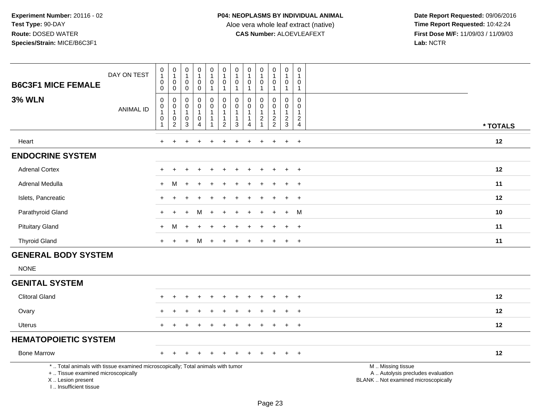| <b>B6C3F1 MICE FEMALE</b>                                                                                                                                           | DAY ON TEST      | $\begin{smallmatrix}0\\1\end{smallmatrix}$<br>$\mathbf 0$<br>$\mathbf 0$       | $\pmb{0}$<br>$\mathbf{1}$<br>$\mathbf 0$<br>$\mathbf 0$   | 0<br>$\mathbf{1}$<br>$\mathbf 0$<br>$\mathbf 0$         | $\pmb{0}$<br>$\mathbf{1}$<br>$\pmb{0}$<br>$\mathbf 0$ | $\mathbf 0$<br>$\mathbf{1}$<br>$\mathbf 0$<br>$\mathbf{1}$    | $\begin{smallmatrix} 0\\ 1 \end{smallmatrix}$<br>$\mathsf 0$<br>$\mathbf{1}$   | 0<br>1<br>$\mathbf 0$<br>$\mathbf{1}$ | $\pmb{0}$<br>$\mathbf{1}$<br>$\mathbf 0$<br>$\mathbf{1}$                   | $\pmb{0}$<br>$\mathbf{1}$<br>$\mathbf 0$<br>$\mathbf{1}$                           | $\pmb{0}$<br>$\mathbf{1}$<br>$\mathbf 0$<br>$\mathbf{1}$ | $\pmb{0}$<br>$\mathbf{1}$<br>$\mathbf 0$<br>$\overline{1}$         | 0<br>$\mathbf{1}$<br>0<br>$\mathbf{1}$        |                                                                                               |
|---------------------------------------------------------------------------------------------------------------------------------------------------------------------|------------------|--------------------------------------------------------------------------------|-----------------------------------------------------------|---------------------------------------------------------|-------------------------------------------------------|---------------------------------------------------------------|--------------------------------------------------------------------------------|---------------------------------------|----------------------------------------------------------------------------|------------------------------------------------------------------------------------|----------------------------------------------------------|--------------------------------------------------------------------|-----------------------------------------------|-----------------------------------------------------------------------------------------------|
| <b>3% WLN</b>                                                                                                                                                       | <b>ANIMAL ID</b> | $\boldsymbol{0}$<br>$\pmb{0}$<br>$\overline{1}$<br>$\mathbf 0$<br>$\mathbf{1}$ | 0<br>$\pmb{0}$<br>$\mathbf{1}$<br>$\pmb{0}$<br>$\sqrt{2}$ | 0<br>$\mathbf 0$<br>$\overline{1}$<br>0<br>$\mathbf{3}$ | 0<br>$\pmb{0}$<br>1<br>$\pmb{0}$<br>$\overline{4}$    | 0<br>$\mathbf 0$<br>$\overline{1}$<br>$\overline{\mathbf{1}}$ | $\mathbf 0$<br>$\mathbf 0$<br>$\mathbf{1}$<br>$\mathbf{1}$<br>$\boldsymbol{2}$ | 0<br>0<br>$\mathbf 1$<br>1<br>3       | $\mathbf 0$<br>$\pmb{0}$<br>$\mathbf{1}$<br>$\mathbf{1}$<br>$\overline{4}$ | 0<br>$\mathsf{O}\xspace$<br>$\mathbf{1}$<br>$\overline{c}$<br>$\blacktriangleleft$ | 0<br>$\mathbf 0$<br>$\mathbf{1}$<br>$\frac{2}{2}$        | $\mathbf 0$<br>$\boldsymbol{0}$<br>$\overline{1}$<br>$\frac{2}{3}$ | 0<br>0<br>$\mathbf{1}$<br>$\overline{c}$<br>4 | * TOTALS                                                                                      |
| Heart                                                                                                                                                               |                  | $+$                                                                            | $\ddot{}$                                                 |                                                         | $\overline{ }$                                        | $\ddot{}$                                                     | $\div$                                                                         | $\ddot{}$                             |                                                                            | $\ddot{}$                                                                          | $\ddot{}$                                                | $\ddot{}$                                                          | $+$                                           | 12                                                                                            |
| <b>ENDOCRINE SYSTEM</b>                                                                                                                                             |                  |                                                                                |                                                           |                                                         |                                                       |                                                               |                                                                                |                                       |                                                                            |                                                                                    |                                                          |                                                                    |                                               |                                                                                               |
| <b>Adrenal Cortex</b>                                                                                                                                               |                  |                                                                                |                                                           |                                                         |                                                       |                                                               |                                                                                |                                       |                                                                            |                                                                                    |                                                          | $\pm$                                                              | $\pm$                                         | 12                                                                                            |
| Adrenal Medulla                                                                                                                                                     |                  | $+$                                                                            | М                                                         |                                                         |                                                       |                                                               |                                                                                |                                       |                                                                            |                                                                                    |                                                          |                                                                    | $\overline{+}$                                | 11                                                                                            |
| Islets, Pancreatic                                                                                                                                                  |                  | $\pm$                                                                          |                                                           |                                                         |                                                       |                                                               |                                                                                |                                       |                                                                            |                                                                                    | $\ddot{}$                                                | $\ddot{}$                                                          | $\ddot{}$                                     | 12                                                                                            |
| Parathyroid Gland                                                                                                                                                   |                  |                                                                                |                                                           |                                                         |                                                       |                                                               |                                                                                |                                       |                                                                            |                                                                                    |                                                          | $\ddot{}$                                                          | M                                             | 10                                                                                            |
| <b>Pituitary Gland</b>                                                                                                                                              |                  | $\ddot{}$                                                                      | М                                                         |                                                         |                                                       |                                                               |                                                                                |                                       |                                                                            |                                                                                    |                                                          |                                                                    | $\ddot{}$                                     | 11                                                                                            |
| <b>Thyroid Gland</b>                                                                                                                                                |                  | $+$                                                                            | $\overline{+}$                                            | $\ddot{}$                                               | M                                                     | $\pm$                                                         | $\ddot{}$                                                                      | $\ddot{}$                             |                                                                            | $\ddot{}$                                                                          | $\pm$                                                    | $\pm$                                                              | $+$                                           | 11                                                                                            |
| <b>GENERAL BODY SYSTEM</b>                                                                                                                                          |                  |                                                                                |                                                           |                                                         |                                                       |                                                               |                                                                                |                                       |                                                                            |                                                                                    |                                                          |                                                                    |                                               |                                                                                               |
| <b>NONE</b>                                                                                                                                                         |                  |                                                                                |                                                           |                                                         |                                                       |                                                               |                                                                                |                                       |                                                                            |                                                                                    |                                                          |                                                                    |                                               |                                                                                               |
| <b>GENITAL SYSTEM</b>                                                                                                                                               |                  |                                                                                |                                                           |                                                         |                                                       |                                                               |                                                                                |                                       |                                                                            |                                                                                    |                                                          |                                                                    |                                               |                                                                                               |
| <b>Clitoral Gland</b>                                                                                                                                               |                  |                                                                                |                                                           |                                                         |                                                       |                                                               |                                                                                |                                       |                                                                            |                                                                                    |                                                          |                                                                    | $\div$                                        | 12                                                                                            |
| Ovary                                                                                                                                                               |                  |                                                                                |                                                           |                                                         |                                                       |                                                               |                                                                                |                                       |                                                                            |                                                                                    |                                                          |                                                                    | $+$                                           | 12                                                                                            |
| Uterus                                                                                                                                                              |                  | $+$                                                                            |                                                           |                                                         |                                                       |                                                               |                                                                                |                                       |                                                                            |                                                                                    |                                                          | $\ddot{}$                                                          | $+$                                           | 12                                                                                            |
| <b>HEMATOPOIETIC SYSTEM</b>                                                                                                                                         |                  |                                                                                |                                                           |                                                         |                                                       |                                                               |                                                                                |                                       |                                                                            |                                                                                    |                                                          |                                                                    |                                               |                                                                                               |
| <b>Bone Marrow</b>                                                                                                                                                  |                  |                                                                                |                                                           |                                                         |                                                       |                                                               |                                                                                |                                       |                                                                            |                                                                                    |                                                          |                                                                    | $\overline{+}$                                | 12                                                                                            |
| *  Total animals with tissue examined microscopically; Total animals with tumor<br>+  Tissue examined microscopically<br>X  Lesion present<br>I Insufficient tissue |                  |                                                                                |                                                           |                                                         |                                                       |                                                               |                                                                                |                                       |                                                                            |                                                                                    |                                                          |                                                                    |                                               | M  Missing tissue<br>A  Autolysis precludes evaluation<br>BLANK  Not examined microscopically |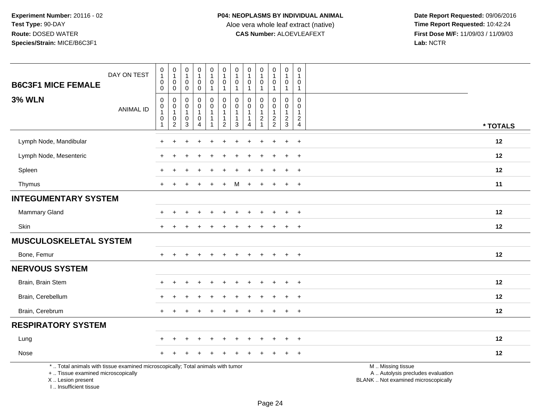**Date Report Requested:** 09/06/2016 **First Dose M/F:** 11/09/03 / 11/09/03<br>Lab: NCTR **Lab:** NCTR

| <b>B6C3F1 MICE FEMALE</b>                                                                                                                  | DAY ON TEST                   | $\pmb{0}$<br>$\mathbf{1}$<br>$\mathsf 0$<br>$\mathbf 0$              | $\pmb{0}$<br>$\overline{1}$<br>$\mathbf 0$<br>$\mathbf 0$                 | $\pmb{0}$<br>$\mathbf{1}$<br>$\pmb{0}$<br>$\mathsf{O}\xspace$ | 0<br>$\mathbf{1}$<br>0<br>$\mathsf{O}\xspace$                      | $\pmb{0}$<br>$\overline{1}$<br>$\mathbf 0$<br>$\mathbf{1}$ | $\pmb{0}$<br>$\mathbf{1}$<br>$\mathbf 0$<br>$\mathbf{1}$                     | 0<br>$\overline{1}$<br>0<br>$\overline{1}$ | $\pmb{0}$<br>$\mathbf{1}$<br>$\mathbf 0$<br>$\overline{1}$                 | $\pmb{0}$<br>$\mathbf{1}$<br>0<br>$\mathbf 1$ | $\pmb{0}$<br>$\overline{1}$<br>$\mathbf{0}$<br>$\mathbf{1}$ | $\pmb{0}$<br>$\mathbf{1}$<br>0<br>$\mathbf{1}$              | $\pmb{0}$<br>$\overline{1}$<br>0<br>$\mathbf{1}$     |                                                                                               |          |
|--------------------------------------------------------------------------------------------------------------------------------------------|-------------------------------|----------------------------------------------------------------------|---------------------------------------------------------------------------|---------------------------------------------------------------|--------------------------------------------------------------------|------------------------------------------------------------|------------------------------------------------------------------------------|--------------------------------------------|----------------------------------------------------------------------------|-----------------------------------------------|-------------------------------------------------------------|-------------------------------------------------------------|------------------------------------------------------|-----------------------------------------------------------------------------------------------|----------|
| <b>3% WLN</b>                                                                                                                              | <b>ANIMAL ID</b>              | 0<br>$\pmb{0}$<br>$\mathbf{1}$<br>$\boldsymbol{0}$<br>$\overline{1}$ | $\mathbf 0$<br>$\mathbf 0$<br>$\mathbf{1}$<br>$\pmb{0}$<br>$\overline{c}$ | $\mathbf 0$<br>$\mathbf 0$<br>$\mathbf{1}$<br>$\pmb{0}$<br>3  | 0<br>$\mathbf 0$<br>$\mathbf{1}$<br>$\mathsf{O}$<br>$\overline{4}$ | 0<br>$\overline{0}$<br>$\mathbf{1}$<br>$\mathbf{1}$<br>-1  | $\mathbf 0$<br>$\pmb{0}$<br>$\overline{1}$<br>$\mathbf{1}$<br>$\overline{2}$ | 0<br>$\mathbf 0$<br>$\mathbf 1$<br>3       | 0<br>$\mathbf 0$<br>$\mathbf{1}$<br>$\mathbf{1}$<br>$\boldsymbol{\Lambda}$ | 0<br>$\mathbf 0$<br>$\overline{c}$            | 0<br>$\mathbf 0$<br>$\mathbf{1}$<br>$\frac{2}{2}$           | $\mathbf 0$<br>$\pmb{0}$<br>$\overline{1}$<br>$\frac{2}{3}$ | $\mathbf 0$<br>$\mathbf 0$<br>$\mathbf{1}$<br>$_4^2$ |                                                                                               | * TOTALS |
| Lymph Node, Mandibular                                                                                                                     |                               | ÷                                                                    |                                                                           |                                                               |                                                                    |                                                            |                                                                              |                                            |                                                                            |                                               |                                                             | +                                                           | $\ddot{}$                                            |                                                                                               | 12       |
| Lymph Node, Mesenteric                                                                                                                     |                               |                                                                      |                                                                           |                                                               |                                                                    |                                                            |                                                                              |                                            |                                                                            |                                               |                                                             |                                                             | $\ddot{}$                                            |                                                                                               | 12       |
| Spleen                                                                                                                                     |                               |                                                                      |                                                                           |                                                               |                                                                    |                                                            |                                                                              |                                            |                                                                            |                                               |                                                             |                                                             | $\ddot{}$                                            |                                                                                               | 12       |
| Thymus                                                                                                                                     |                               |                                                                      |                                                                           |                                                               |                                                                    |                                                            |                                                                              | М                                          |                                                                            |                                               |                                                             | $\ddot{}$                                                   | $\overline{+}$                                       |                                                                                               | 11       |
| <b>INTEGUMENTARY SYSTEM</b>                                                                                                                |                               |                                                                      |                                                                           |                                                               |                                                                    |                                                            |                                                                              |                                            |                                                                            |                                               |                                                             |                                                             |                                                      |                                                                                               |          |
| Mammary Gland                                                                                                                              |                               |                                                                      |                                                                           |                                                               | $\ddot{}$                                                          |                                                            |                                                                              |                                            |                                                                            |                                               |                                                             | $\ddot{}$                                                   | $+$                                                  |                                                                                               | 12       |
| Skin                                                                                                                                       |                               |                                                                      |                                                                           |                                                               |                                                                    |                                                            |                                                                              |                                            |                                                                            |                                               |                                                             |                                                             | $\div$                                               |                                                                                               | 12       |
|                                                                                                                                            | <b>MUSCULOSKELETAL SYSTEM</b> |                                                                      |                                                                           |                                                               |                                                                    |                                                            |                                                                              |                                            |                                                                            |                                               |                                                             |                                                             |                                                      |                                                                                               |          |
| Bone, Femur                                                                                                                                |                               | $+$                                                                  |                                                                           |                                                               |                                                                    |                                                            |                                                                              |                                            |                                                                            |                                               |                                                             | $+$                                                         | $+$                                                  |                                                                                               | 12       |
| <b>NERVOUS SYSTEM</b>                                                                                                                      |                               |                                                                      |                                                                           |                                                               |                                                                    |                                                            |                                                                              |                                            |                                                                            |                                               |                                                             |                                                             |                                                      |                                                                                               |          |
| Brain, Brain Stem                                                                                                                          |                               |                                                                      |                                                                           |                                                               |                                                                    |                                                            |                                                                              |                                            |                                                                            |                                               |                                                             |                                                             | $\ddot{}$                                            |                                                                                               | 12       |
| Brain, Cerebellum                                                                                                                          |                               |                                                                      |                                                                           |                                                               |                                                                    |                                                            |                                                                              |                                            |                                                                            |                                               |                                                             | $\div$                                                      | $\overline{+}$                                       |                                                                                               | 12       |
| Brain, Cerebrum                                                                                                                            |                               | $+$                                                                  |                                                                           |                                                               |                                                                    |                                                            |                                                                              |                                            |                                                                            |                                               |                                                             | ÷                                                           | $+$                                                  |                                                                                               | 12       |
| <b>RESPIRATORY SYSTEM</b>                                                                                                                  |                               |                                                                      |                                                                           |                                                               |                                                                    |                                                            |                                                                              |                                            |                                                                            |                                               |                                                             |                                                             |                                                      |                                                                                               |          |
| Lung                                                                                                                                       |                               |                                                                      |                                                                           |                                                               |                                                                    |                                                            |                                                                              |                                            |                                                                            |                                               |                                                             |                                                             | $\ddot{}$                                            |                                                                                               | 12       |
| Nose                                                                                                                                       |                               |                                                                      |                                                                           |                                                               |                                                                    |                                                            |                                                                              |                                            |                                                                            |                                               |                                                             |                                                             | $\ddot{}$                                            |                                                                                               | 12       |
| *  Total animals with tissue examined microscopically; Total animals with tumor<br>+  Tissue examined microscopically<br>X  Lesion present |                               |                                                                      |                                                                           |                                                               |                                                                    |                                                            |                                                                              |                                            |                                                                            |                                               |                                                             |                                                             |                                                      | M  Missing tissue<br>A  Autolysis precludes evaluation<br>BLANK  Not examined microscopically |          |

I .. Insufficient tissue